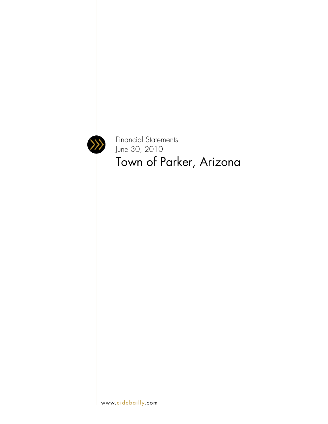

Financial Statements June 30, 2010 Town of Parker, Arizona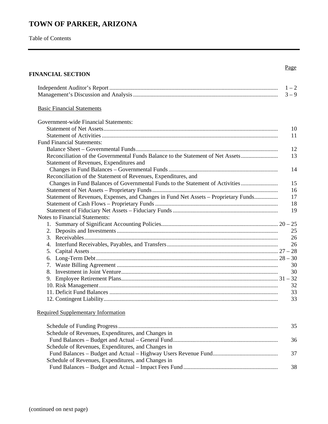# **TOWN OF PARKER, ARIZONA**

Table of Contents

### **FINANCIAL SECTION**

# Page

|                                                                                                                            | $1 - 2$<br>$3 - 9$ |
|----------------------------------------------------------------------------------------------------------------------------|--------------------|
| <b>Basic Financial Statements</b>                                                                                          |                    |
| Government-wide Financial Statements:                                                                                      |                    |
|                                                                                                                            | 10                 |
|                                                                                                                            | 11                 |
| <b>Fund Financial Statements:</b>                                                                                          |                    |
|                                                                                                                            | 12                 |
| Reconciliation of the Governmental Funds Balance to the Statement of Net Assets<br>Statement of Revenues, Expenditures and | 13                 |
|                                                                                                                            | 14                 |
| Reconciliation of the Statement of Revenues, Expenditures, and                                                             |                    |
| Changes in Fund Balances of Governmental Funds to the Statement of Activities                                              | 15                 |
|                                                                                                                            | 16                 |
| Statement of Revenues, Expenses, and Changes in Fund Net Assets – Proprietary Funds                                        | 17                 |
|                                                                                                                            | 18                 |
|                                                                                                                            | 19                 |
| Notes to Financial Statements:                                                                                             |                    |
| 1.                                                                                                                         |                    |
|                                                                                                                            | 25                 |
|                                                                                                                            | 26                 |
|                                                                                                                            | 26                 |
| 5.                                                                                                                         |                    |
| 6.                                                                                                                         |                    |
|                                                                                                                            | 30                 |
| 8                                                                                                                          | 30                 |
|                                                                                                                            |                    |
|                                                                                                                            | 32                 |
|                                                                                                                            | 33                 |
|                                                                                                                            | 33                 |

# Required Supplementary Information

| 36 |
|----|
|    |
| 37 |
|    |
| 38 |
|    |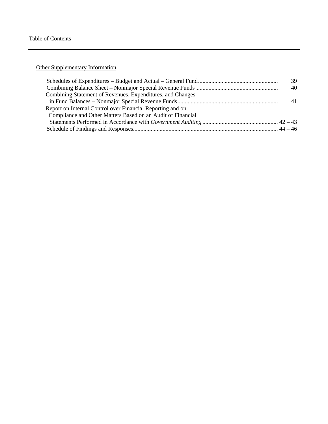Other Supplementary Information

|                                                             | 39 |
|-------------------------------------------------------------|----|
|                                                             | 40 |
| Combining Statement of Revenues, Expenditures, and Changes  |    |
|                                                             | 41 |
| Report on Internal Control over Financial Reporting and on  |    |
| Compliance and Other Matters Based on an Audit of Financial |    |
|                                                             |    |
|                                                             |    |
|                                                             |    |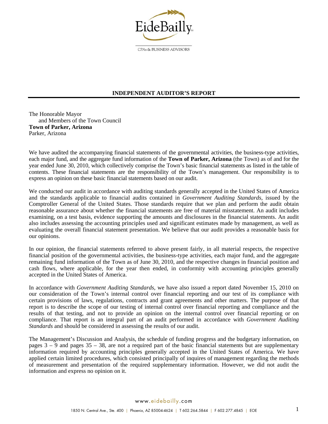

CPAs & BUSINESS ADVISORS

# **INDEPENDENT AUDITOR'S REPORT**

The Honorable Mayor and Members of the Town Council **Town of Parker, Arizona**  Parker, Arizona

We have audited the accompanying financial statements of the governmental activities, the business-type activities, each major fund, and the aggregate fund information of the **Town of Parker, Arizona** (the Town) as of and for the year ended June 30, 2010, which collectively comprise the Town's basic financial statements as listed in the table of contents. These financial statements are the responsibility of the Town's management. Our responsibility is to express an opinion on these basic financial statements based on our audit.

We conducted our audit in accordance with auditing standards generally accepted in the United States of America and the standards applicable to financial audits contained in *Government Auditing Standards*, issued by the Comptroller General of the United States. Those standards require that we plan and perform the audit obtain reasonable assurance about whether the financial statements are free of material misstatement. An audit includes examining, on a test basis, evidence supporting the amounts and disclosures in the financial statements. An audit also includes assessing the accounting principles used and significant estimates made by management, as well as evaluating the overall financial statement presentation. We believe that our audit provides a reasonable basis for our opinions.

In our opinion, the financial statements referred to above present fairly, in all material respects, the respective financial position of the governmental activities, the business-type activities, each major fund, and the aggregate remaining fund information of the Town as of June 30, 2010, and the respective changes in financial position and cash flows, where applicable, for the year then ended, in conformity with accounting principles generally accepted in the United States of America.

In accordance with *Government Auditing Standards*, we have also issued a report dated November 15, 2010 on our consideration of the Town's internal control over financial reporting and our test of its compliance with certain provisions of laws, regulations, contracts and grant agreements and other matters. The purpose of that report is to describe the scope of our testing of internal control over financial reporting and compliance and the results of that testing, and not to provide an opinion on the internal control over financial reporting or on compliance. That report is an integral part of an audit performed in accordance with *Government Auditing Standards* and should be considered in assessing the results of our audit.

The Management's Discussion and Analysis, the schedule of funding progress and the budgetary information, on pages  $3 - 9$  and pages  $35 - 38$ , are not a required part of the basic financial statements but are supplementary information required by accounting principles generally accepted in the United States of America. We have applied certain limited procedures, which consisted principally of inquires of management regarding the methods of measurement and presentation of the required supplementary information. However, we did not audit the information and express no opinion on it.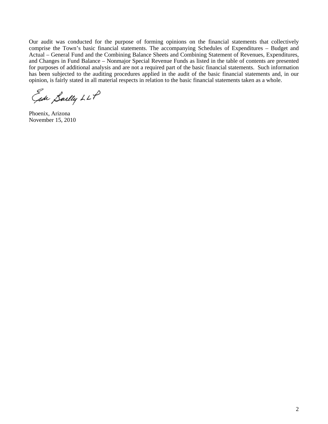Our audit was conducted for the purpose of forming opinions on the financial statements that collectively comprise the Town's basic financial statements. The accompanying Schedules of Expenditures – Budget and Actual – General Fund and the Combining Balance Sheets and Combining Statement of Revenues, Expenditures, and Changes in Fund Balance – Nonmajor Special Revenue Funds as listed in the table of contents are presented for purposes of additional analysis and are not a required part of the basic financial statements. Such information has been subjected to the auditing procedures applied in the audit of the basic financial statements and, in our opinion, is fairly stated in all material respects in relation to the basic financial statements taken as a whole.

Ede Sailly LLP

Phoenix, Arizona November 15, 2010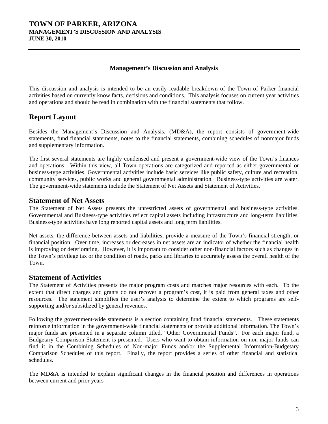### **Management's Discussion and Analysis**

This discussion and analysis is intended to be an easily readable breakdown of the Town of Parker financial activities based on currently know facts, decisions and conditions. This analysis focuses on current year activities and operations and should be read in combination with the financial statements that follow.

# **Report Layout**

Besides the Management's Discussion and Analysis, (MD&A), the report consists of government-wide statements, fund financial statements, notes to the financial statements, combining schedules of nonmajor funds and supplementary information.

The first several statements are highly condensed and present a government-wide view of the Town's finances and operations. Within this view, all Town operations are categorized and reported as either governmental or business-type activities. Governmental activities include basic services like public safety, culture and recreation, community services, public works and general governmental administration. Business-type activities are water. The government-wide statements include the Statement of Net Assets and Statement of Activities.

# **Statement of Net Assets**

The Statement of Net Assets presents the unrestricted assets of governmental and business-type activities. Governmental and Business-type activities reflect capital assets including infrastructure and long-term liabilities. Business-type activities have long reported capital assets and long term liabilities.

Net assets, the difference between assets and liabilities, provide a measure of the Town's financial strength, or financial position. Over time, increases or decreases in net assets are an indicator of whether the financial health is improving or deteriorating. However, it is important to consider other non-financial factors such as changes in the Town's privilege tax or the condition of roads, parks and libraries to accurately assess the overall health of the Town.

# **Statement of Activities**

The Statement of Activities presents the major program costs and matches major resources with each. To the extent that direct charges and grants do not recover a program's cost, it is paid from general taxes and other resources. The statement simplifies the user's analysis to determine the extent to which programs are selfsupporting and/or subsidized by general revenues.

Following the government-wide statements is a section containing fund financial statements. These statements reinforce information in the government-wide financial statements or provide additional information. The Town's major funds are presented in a separate column titled, "Other Governmental Funds". For each major fund, a Budgetary Comparison Statement is presented. Users who want to obtain information on non-major funds can find it in the Combining Schedules of Non-major Funds and/or the Supplemental Information-Budgetary Comparison Schedules of this report. Finally, the report provides a series of other financial and statistical schedules.

The MD&A is intended to explain significant changes in the financial position and differences in operations between current and prior years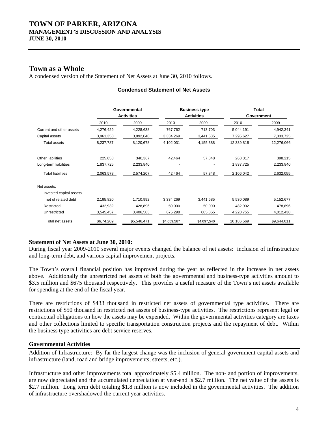# **Town as a Whole**

A condensed version of the Statement of Net Assets at June 30, 2010 follows.

|                          | Governmental<br><b>Activities</b> |             |             | <b>Business-type</b> | <b>Total</b><br>Government |             |  |
|--------------------------|-----------------------------------|-------------|-------------|----------------------|----------------------------|-------------|--|
|                          |                                   |             |             | <b>Activities</b>    |                            |             |  |
|                          | 2010                              | 2009        | 2010        | 2009                 | 2010                       | 2009        |  |
| Current and other assets | 4,276,429                         | 4,228,638   | 767,762     | 713,703              | 5,044,191                  | 4,942,341   |  |
| Capital assets           | 3,961,358                         | 3,892,040   | 3,334,269   | 3,441,685            | 7,295,627                  | 7,333,725   |  |
| <b>Total assets</b>      | 8,237,787                         | 8,120,678   | 4,102,031   | 4,155,388            | 12,339,818                 | 12,276,066  |  |
| Other liabilities        | 225,853                           | 340,367     | 42,464      | 57,848               | 268,317                    | 398,215     |  |
| Long-term liabilities    | 1,837,725                         | 2,233,840   |             |                      | 1,837,725                  | 2,233,840   |  |
| <b>Total liabilities</b> | 2,063,578                         | 2,574,207   | 42,464      | 57,848               | 2,106,042                  | 2,632,055   |  |
| Net assets:              |                                   |             |             |                      |                            |             |  |
| Invested capital assets  |                                   |             |             |                      |                            |             |  |
| net of related debt      | 2,195,820                         | 1,710,992   | 3,334,269   | 3,441,685            | 5,530,089                  | 5,152,677   |  |
| Restricted               | 432,932                           | 428,896     | 50,000      | 50,000               | 482,932                    | 478,896     |  |
| Unrestricted             | 3,545,457                         | 3,406,583   | 675,298     | 605,855              | 4,220,755                  | 4,012,438   |  |
| Total net assets         | \$6,74,209                        | \$5,546,471 | \$4,059,567 | \$4,097,540          | 10,186,569                 | \$9,644,011 |  |

### **Condensed Statement of Net Assets**

### **Statement of Net Assets at June 30, 2010:**

During fiscal year 2009-2010 several major events changed the balance of net assets: inclusion of infrastructure and long-term debt, and various capital improvement projects.

The Town's overall financial position has improved during the year as reflected in the increase in net assets above. Additionally the unrestricted net assets of both the governmental and business-type activities amount to \$3.5 million and \$675 thousand respectively. This provides a useful measure of the Town's net assets available for spending at the end of the fiscal year.

There are restrictions of \$433 thousand in restricted net assets of governmental type activities. There are restrictions of \$50 thousand in restricted net assets of business-type activities. The restrictions represent legal or contractual obligations on how the assets may be expended. Within the governmental activities category are taxes and other collections limited to specific transportation construction projects and the repayment of debt. Within the business type activities are debt service reserves.

### **Governmental Activities**

Addition of Infrastructure: By far the largest change was the inclusion of general government capital assets and infrastructure (land, road and bridge improvements, streets, etc.).

Infrastructure and other improvements total approximately \$5.4 million. The non-land portion of improvements, are now depreciated and the accumulated depreciation at year-end is \$2.7 million. The net value of the assets is \$2.7 million. Long term debt totaling \$1.8 million is now included in the governmental activities. The addition of infrastructure overshadowed the current year activities.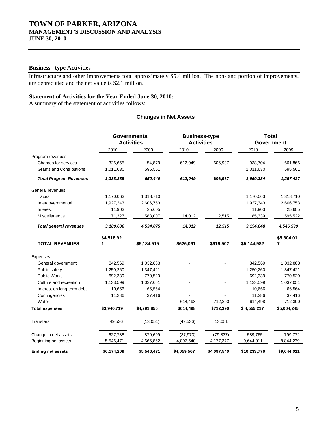### **Business –type Activities**

Infrastructure and other improvements total approximately \$5.4 million. The non-land portion of improvements, are depreciated and the net value is \$2.1 million.

### **Statement of Activities for the Year Ended June 30, 2010:**

A summary of the statement of activities follows:

### **Changes in Net Assets**

|                                 | Governmental<br><b>Activities</b> |             | <b>Business-type</b><br><b>Activities</b> |             | <b>Total</b><br>Government |                 |  |  |
|---------------------------------|-----------------------------------|-------------|-------------------------------------------|-------------|----------------------------|-----------------|--|--|
|                                 | 2010                              | 2009        | 2010                                      | 2009        | 2010                       | 2009            |  |  |
| Program revenues                |                                   |             |                                           |             |                            |                 |  |  |
| Charges for services            | 326,655                           | 54,879      | 612,049                                   | 606,987     | 938,704                    | 661,866         |  |  |
| <b>Grants and Contributions</b> | 1,011,630                         | 595,561     |                                           |             | 1,011,630                  | 595,561         |  |  |
| <b>Total Program Revenues</b>   | 1,338,285                         | 650,440     | 612,049                                   | 606,987     | 1,950,334                  | 1,257,427       |  |  |
| General revenues                |                                   |             |                                           |             |                            |                 |  |  |
| Taxes                           | 1,170,063                         | 1,318,710   |                                           |             | 1,170,063                  | 1,318,710       |  |  |
| Intergovernmental               | 1,927,343                         | 2,606,753   |                                           |             | 1,927,343                  | 2,606,753       |  |  |
| Interest                        | 11,903                            | 25,605      |                                           |             | 11,903                     | 25,605          |  |  |
| <b>Miscellaneous</b>            | 71,327                            | 583,007     | 14,012                                    | 12,515      | 85,339                     | 595,522         |  |  |
| <b>Total general revenues</b>   | 3,180,636                         | 4,534,075   | 14,012                                    | 12,515      | 3,194,648                  | 4,546,590       |  |  |
| <b>TOTAL REVENUES</b>           | \$4,518,92                        | \$5,184,515 | \$626,061                                 | \$619,502   | \$5,144,982                | \$5,804,01<br>7 |  |  |
| Expenses                        |                                   |             |                                           |             |                            |                 |  |  |
| General government              | 842,569                           | 1,032,883   |                                           |             | 842,569                    | 1,032,883       |  |  |
| Public safety                   | 1,250,260                         | 1,347,421   |                                           |             | 1,250,260                  | 1,347,421       |  |  |
| <b>Public Works</b>             | 692,339                           | 770,520     |                                           |             | 692,339                    | 770,520         |  |  |
| Culture and recreation          | 1,133,599                         | 1,037,051   |                                           |             | 1,133,599                  | 1,037,051       |  |  |
| Interest on long-term debt      | 10,666                            | 66,564      |                                           |             | 10,666                     | 66,564          |  |  |
| Contingencies                   | 11,286                            | 37,416      |                                           |             | 11,286                     | 37,416          |  |  |
| Water                           |                                   |             | 614,498                                   | 712,390     | 614,498                    | 712,390         |  |  |
| <b>Total expenses</b>           | \$3,940,719                       | \$4,291,855 | \$614,498                                 | \$712,390   | \$4,555,217                | \$5,004,245     |  |  |
| <b>Transfers</b>                | 49,536                            | (13,051)    | (49, 536)                                 | 13,051      |                            |                 |  |  |
| Change in net assets            | 627,738                           | 879,609     | (37, 973)                                 | (79, 837)   | 589,765                    | 799,772         |  |  |
| Beginning net assets            | 5,546,471                         | 4,666,862   | 4,097,540                                 | 4,177,377   | 9,644,011                  | 8,844,239       |  |  |
| <b>Ending net assets</b>        | \$6,174,209                       | \$5,546,471 | \$4,059,567                               | \$4,097,540 | \$10,233,776               | \$9,644,011     |  |  |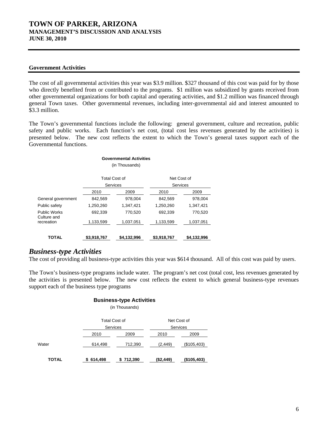#### **Government Activities**

The cost of all governmental activities this year was \$3.9 million. \$327 thousand of this cost was paid for by those who directly benefited from or contributed to the programs. \$1 million was subsidized by grants received from other governmental organizations for both capital and operating activities, and \$1.2 million was financed through general Town taxes. Other governmental revenues, including inter-governmental aid and interest amounted to \$3.3 million.

The Town's governmental functions include the following: general government, culture and recreation, public safety and public works. Each function's net cost, (total cost less revenues generated by the activities) is presented below. The new cost reflects the extent to which the Town's general taxes support each of the Governmental functions.

|                                    | GOVEHILIGHQI ACUVIUS |                      |             |             |  |  |  |  |  |  |  |  |
|------------------------------------|----------------------|----------------------|-------------|-------------|--|--|--|--|--|--|--|--|
| (in Thousands)                     |                      |                      |             |             |  |  |  |  |  |  |  |  |
|                                    |                      | <b>Total Cost of</b> |             | Net Cost of |  |  |  |  |  |  |  |  |
|                                    |                      | Services             |             | Services    |  |  |  |  |  |  |  |  |
|                                    | 2010                 | 2009                 | 2010        | 2009        |  |  |  |  |  |  |  |  |
| General government                 | 842,569              | 978,004              | 842,569     | 978,004     |  |  |  |  |  |  |  |  |
| Public safety                      | 1,250,260            | 1.347.421            | 1,250,260   | 1.347.421   |  |  |  |  |  |  |  |  |
| <b>Public Works</b><br>Culture and | 692.339              | 770.520              | 692.339     | 770.520     |  |  |  |  |  |  |  |  |
| recreation                         | 1,133,599            | 1,037,051            | 1,133,599   | 1,037,051   |  |  |  |  |  |  |  |  |
| <b>TOTAL</b>                       | \$3,918,767          | \$4,132,996          | \$3,918,767 | \$4,132,996 |  |  |  |  |  |  |  |  |

**Governmental Activities** 

# *Business-type Activities*

The cost of providing all business-type activities this year was \$614 thousand. All of this cost was paid by users.

The Town's business-type programs include water. The program's net cost (total cost, less revenues generated by the activities is presented below. The new cost reflects the extent to which general business-type revenues support each of the business type programs

### **Business-type Activities**

(in Thousands)

|              |         | <b>Total Cost of</b><br>Services |           | Net Cost of<br><b>Services</b> |  |  |
|--------------|---------|----------------------------------|-----------|--------------------------------|--|--|
|              | 2010    | 2009                             | 2010      | 2009                           |  |  |
| Water        | 614,498 | 712,390                          | (2, 449)  | (\$105,403)                    |  |  |
| <b>TOTAL</b> | 614,498 | 712,390                          | (\$2,449) | (\$105,403)                    |  |  |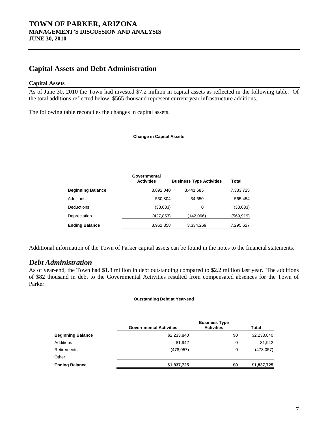# **Capital Assets and Debt Administration**

### **Capital Assets**

As of June 30, 2010 the Town had invested \$7.2 million in capital assets as reflected in the following table. Of the total additions reflected below, \$565 thousand represent current year infrastructure additions.

The following table reconciles the changes in capital assets.

#### **Change in Capital Assets**

|                          | Governmental<br><b>Activities</b> | <b>Business Type Activities</b> | Total      |
|--------------------------|-----------------------------------|---------------------------------|------------|
| <b>Beginning Balance</b> | 3.892.040                         | 3,441,685                       | 7,333,725  |
| Additions                | 530,804                           | 34.650                          | 565,454    |
| <b>Deductions</b>        | (33, 633)                         | 0                               | (33, 633)  |
| Depreciation             | (427,853)                         | (142,066)                       | (569, 919) |
| <b>Ending Balance</b>    | 3,961,358                         | 3,334,269                       | 7,295,627  |

Additional information of the Town of Parker capital assets can be found in the notes to the financial statements.

# *Debt Administration*

As of year-end, the Town had \$1.8 million in debt outstanding compared to \$2.2 million last year. The additions of \$82 thousand in debt to the Governmental Activities resulted from compensated absences for the Town of Parker.

#### **Outstanding Debt at Year-end**

|                          | <b>Governmental Activities</b> | <b>Business Type</b><br><b>Activities</b> | Total       |
|--------------------------|--------------------------------|-------------------------------------------|-------------|
| <b>Beginning Balance</b> | \$2,233,840                    | \$0                                       | \$2,233,840 |
| Additions                | 81.942                         | 0                                         | 81,942      |
| Retirements              | (478, 057)                     | 0                                         | (478, 057)  |
| Other                    |                                |                                           |             |
| <b>Ending Balance</b>    | \$1,837,725                    | \$0                                       | \$1,837,725 |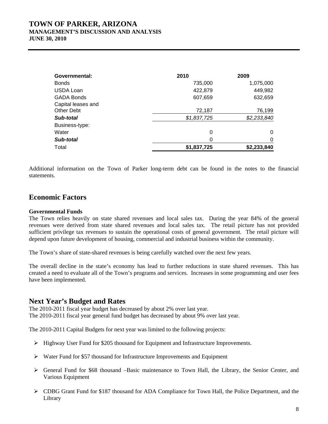| Governmental:      | 2010        | 2009        |
|--------------------|-------------|-------------|
| <b>Bonds</b>       | 735,000     | 1,075,000   |
| <b>USDA Loan</b>   | 422,879     | 449,982     |
| <b>GADA Bonds</b>  | 607,659     | 632,659     |
| Capital leases and |             |             |
| <b>Other Debt</b>  | 72,187      | 76,199      |
| Sub-total          | \$1,837,725 | \$2,233,840 |
| Business-type:     |             |             |
| Water              | 0           | 0           |
| Sub-total          | 0           | 0           |
| Total              | \$1,837,725 | \$2,233,840 |

Additional information on the Town of Parker long-term debt can be found in the notes to the financial statements.

# **Economic Factors**

### **Governmental Funds**

The Town relies heavily on state shared revenues and local sales tax. During the year 84% of the general revenues were derived from state shared revenues and local sales tax. The retail picture has not provided sufficient privilege tax revenues to sustain the operational costs of general government. The retail picture will depend upon future development of housing, commercial and industrial business within the community.

The Town's share of state-shared revenues is being carefully watched over the next few years.

The overall decline in the state's economy has lead to further reductions in state shared revenues. This has created a need to evaluate all of the Town's programs and services. Increases in some programming and user fees have been implemented.

### **Next Year's Budget and Rates**

The 2010-2011 fiscal year budget has decreased by about 2% over last year. The 2010-2011 fiscal year general fund budget has decreased by about 9% over last year.

The 2010-2011 Capital Budgets for next year was limited to the following projects:

- $\triangleright$  Highway User Fund for \$205 thousand for Equipment and Infrastructure Improvements.
- ¾ Water Fund for \$57 thousand for Infrastructure Improvements and Equipment
- $\triangleright$  General Fund for \$68 thousand –Basic maintenance to Town Hall, the Library, the Senior Center, and Various Equipment
- ¾ CDBG Grant Fund for \$187 thousand for ADA Compliance for Town Hall, the Police Department, and the Library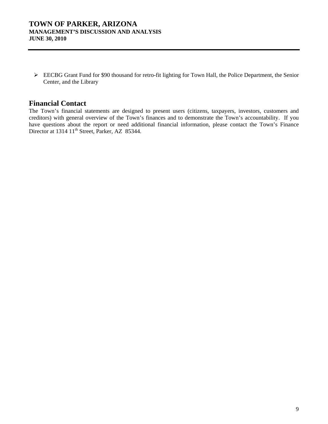¾ EECBG Grant Fund for \$90 thousand for retro-fit lighting for Town Hall, the Police Department, the Senior Center, and the Library

# **Financial Contact**

The Town's financial statements are designed to present users (citizens, taxpayers, investors, customers and creditors) with general overview of the Town's finances and to demonstrate the Town's accountability. If you have questions about the report or need additional financial information, please contact the Town's Finance Director at 1314 11<sup>th</sup> Street, Parker, AZ 85344.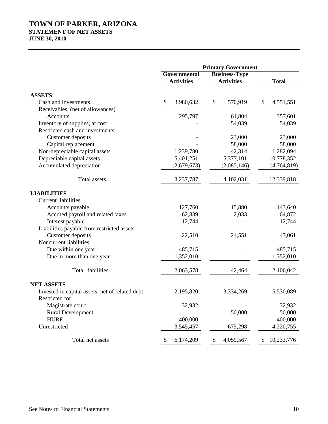# **TOWN OF PARKER, ARIZONA STATEMENT OF NET ASSETS**

**JUNE 30, 2010**

|                                                 | <b>Primary Government</b> |                                   |    |                                           |    |              |
|-------------------------------------------------|---------------------------|-----------------------------------|----|-------------------------------------------|----|--------------|
|                                                 |                           | Governmental<br><b>Activities</b> |    | <b>Business-Type</b><br><b>Activities</b> |    | <b>Total</b> |
| <b>ASSETS</b>                                   |                           |                                   |    |                                           |    |              |
| Cash and investments                            | \$                        | 3,980,632                         | \$ | 570,919                                   | \$ | 4,551,551    |
| Receivables, (net of allowances)                |                           |                                   |    |                                           |    |              |
| Accounts                                        |                           | 295,797                           |    | 61,804                                    |    | 357,601      |
| Inventory of supplies, at cost                  |                           |                                   |    | 54,039                                    |    | 54,039       |
| Restricted cash and investments:                |                           |                                   |    |                                           |    |              |
| Customer deposits                               |                           |                                   |    | 23,000                                    |    | 23,000       |
| Capital replacement                             |                           |                                   |    | 58,000                                    |    | 58,000       |
| Non-depreciable capital assets                  |                           | 1,239,780                         |    | 42,314                                    |    | 1,282,094    |
| Depreciable capital assets                      |                           | 5,401,251                         |    | 5,377,101                                 |    | 10,778,352   |
| Accumulated depreciation                        |                           | (2,679,673)                       |    | (2,085,146)                               |    | (4,764,819)  |
| <b>Total</b> assets                             |                           | 8,237,787                         |    | 4,102,031                                 |    | 12,339,818   |
| <b>LIABILITIES</b>                              |                           |                                   |    |                                           |    |              |
| <b>Current liabilities</b>                      |                           |                                   |    |                                           |    |              |
| Accounts payable                                |                           | 127,760                           |    | 15,880                                    |    | 143,640      |
| Accrued payroll and related taxes               |                           | 62,839                            |    | 2,033                                     |    | 64,872       |
| Interest payable                                |                           | 12,744                            |    |                                           |    | 12,744       |
| Liabilities payable from restricted assets      |                           |                                   |    |                                           |    |              |
| Customer deposits                               |                           | 22,510                            |    | 24,551                                    |    | 47,061       |
| Noncurrent liabilities                          |                           |                                   |    |                                           |    |              |
| Due within one year                             |                           | 485,715                           |    |                                           |    | 485,715      |
| Due in more than one year                       |                           | 1,352,010                         |    |                                           |    | 1,352,010    |
| <b>Total liabilities</b>                        |                           | 2,063,578                         |    | 42,464                                    |    | 2,106,042    |
| <b>NET ASSETS</b>                               |                           |                                   |    |                                           |    |              |
| Invested in capital assets, net of related debt |                           | 2,195,820                         |    | 3,334,269                                 |    | 5,530,089    |
| Restricted for                                  |                           |                                   |    |                                           |    |              |
| Magistrate court                                |                           | 32,932                            |    |                                           |    | 32,932       |
| <b>Rural Development</b>                        |                           |                                   |    | 50,000                                    |    | 50,000       |
| <b>HURF</b>                                     |                           | 400,000                           |    |                                           |    | 400,000      |
| Unrestricted                                    |                           | 3,545,457                         |    | 675,298                                   |    | 4,220,755    |
| Total net assets                                | \$                        | 6,174,209                         | \$ | 4,059,567                                 | \$ | 10,233,776   |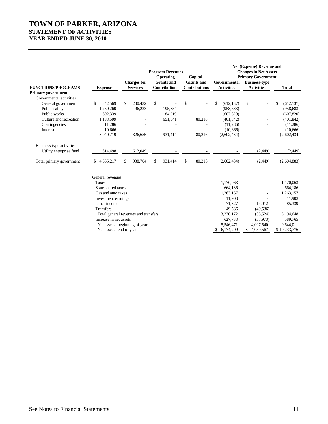# **TOWN OF PARKER, ARIZONA STATEMENT OF ACTIVITIES YEAR ENDED JUNE 30, 2010**

|                                                      |                                      | <b>Program Revenues</b>               |         |                                           |         |                                           |        |                                   | Net (Expense) Revenue and<br><b>Changes in Net Assets</b> |                                           |               |    |              |  |
|------------------------------------------------------|--------------------------------------|---------------------------------------|---------|-------------------------------------------|---------|-------------------------------------------|--------|-----------------------------------|-----------------------------------------------------------|-------------------------------------------|---------------|----|--------------|--|
|                                                      |                                      | Operating                             |         |                                           |         | Capital                                   |        |                                   |                                                           | <b>Primary Government</b>                 |               |    |              |  |
| <b>FUNCTIONS/PROGRAMS</b>                            | <b>Expenses</b>                      | <b>Charges for</b><br><b>Services</b> |         | <b>Grants</b> and<br><b>Contributions</b> |         | <b>Grants</b> and<br><b>Contributions</b> |        | Governmental<br><b>Activities</b> |                                                           | <b>Business-type</b><br><b>Activities</b> |               |    | <b>Total</b> |  |
| <b>Primary government</b><br>Governmental activities |                                      |                                       |         |                                           |         |                                           |        |                                   |                                                           |                                           |               |    |              |  |
| General government                                   | 842.569<br>\$                        | \$                                    | 230.432 | $\mathbb{S}$                              |         | \$                                        |        | \$                                | (612, 137)                                                | \$                                        |               | \$ | (612, 137)   |  |
| Public safety                                        | 1,250,260                            |                                       | 96,223  |                                           | 195,354 |                                           |        |                                   | (958, 683)                                                |                                           |               |    | (958, 683)   |  |
| Public works                                         | 692,339                              |                                       |         |                                           | 84,519  |                                           |        |                                   | (607, 820)                                                |                                           |               |    | (607, 820)   |  |
| Culture and recreation                               | 1,133,599                            |                                       |         |                                           | 651,541 |                                           | 80,216 |                                   | (401, 842)                                                |                                           |               |    | (401, 842)   |  |
| Contingencies                                        | 11,286                               |                                       |         |                                           |         |                                           |        |                                   | (11,286)                                                  |                                           |               |    | (11,286)     |  |
| Interest                                             | 10,666                               |                                       |         |                                           |         |                                           |        |                                   | (10,666)                                                  |                                           |               |    | (10,666)     |  |
|                                                      | 3,940,719                            |                                       | 326,655 |                                           | 931,414 |                                           | 80,216 |                                   | (2,602,434)                                               |                                           | $\mathcal{L}$ |    | (2,602,434)  |  |
| Business-type activities                             |                                      |                                       |         |                                           |         |                                           |        |                                   |                                                           |                                           |               |    |              |  |
| Utility enterprise fund                              | 614,498                              |                                       | 612,049 |                                           |         |                                           |        |                                   |                                                           |                                           | (2, 449)      |    | (2, 449)     |  |
| Total primary government                             | 4,555,217                            |                                       | 938,704 | S                                         | 931,414 | \$                                        | 80,216 |                                   | (2,602,434)                                               |                                           | (2, 449)      |    | (2,604,883)  |  |
|                                                      | General revenues                     |                                       |         |                                           |         |                                           |        |                                   |                                                           |                                           |               |    |              |  |
|                                                      | <b>Taxes</b>                         |                                       |         |                                           |         |                                           |        |                                   | 1,170,063                                                 |                                           |               |    | 1,170,063    |  |
|                                                      | State shared taxes                   |                                       |         |                                           |         |                                           |        |                                   | 664,186                                                   |                                           |               |    | 664,186      |  |
|                                                      | Gas and auto taxes                   |                                       |         |                                           |         |                                           |        |                                   | 1,263,157                                                 |                                           |               |    | 1,263,157    |  |
|                                                      | Investment earnings                  |                                       |         |                                           |         |                                           |        |                                   | 11.903                                                    |                                           |               |    | 11,903       |  |
|                                                      | Other income                         |                                       |         |                                           |         |                                           |        |                                   | 71,327                                                    |                                           | 14,012        |    | 85,339       |  |
|                                                      | <b>Transfers</b>                     |                                       |         |                                           |         |                                           |        |                                   | 49,536                                                    |                                           | (49, 536)     |    |              |  |
|                                                      | Total general revenues and transfers |                                       |         |                                           |         |                                           |        |                                   | 3,230,172                                                 |                                           | (35,524)      |    | 3,194,648    |  |
|                                                      | Increase in net assets               |                                       |         |                                           |         |                                           |        |                                   | 627.738                                                   |                                           | (37,973)      |    | 589,765      |  |
|                                                      | Net assets - beginning of year       |                                       |         |                                           |         |                                           |        |                                   | 5.546.471                                                 |                                           | 4.097.540     |    | 9.644.011    |  |

Net assets - end of year **business 10,233,776 6,174,209 6,174,209 6,174,209 6,174,209 6,174,209 6**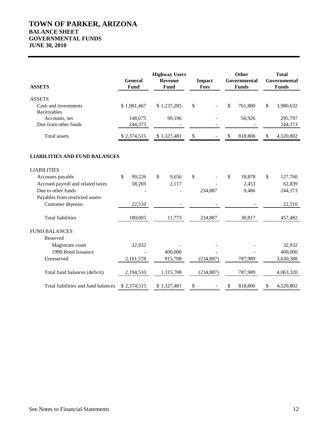# **TOWN OF PARKER, ARIZONA BALANCE SHEET GOVERNMENTAL FUNDS JUNE 30, 2010**

| <b>ASSETS</b>                                   | <b>General</b><br>Fund | <b>Highway Users</b><br><b>Revenue</b><br>Fund | <b>Impact</b><br>Fees | Other<br>Governmental<br><b>Funds</b> | <b>Total</b><br>Governmental<br><b>Funds</b> |  |  |
|-------------------------------------------------|------------------------|------------------------------------------------|-----------------------|---------------------------------------|----------------------------------------------|--|--|
| <b>ASSETS</b>                                   |                        |                                                |                       |                                       |                                              |  |  |
| Cash and investments<br>Receivables             | \$1,981,467            | \$1,237,285                                    | \$                    | \$<br>761,880                         | \$<br>3,980,632                              |  |  |
| Accounts, net                                   | 148,675                | 90,196                                         |                       | 56,926                                | 295,797                                      |  |  |
| Due from other funds                            | 244,373                |                                                |                       |                                       | 244,373                                      |  |  |
| Total assets                                    | \$2,374,515            | \$1,327,481                                    | \$                    | 818,806<br>\$                         | 4,520,802<br>$\mathbb{S}$                    |  |  |
| <b>LIABILITIES AND FUND BALANCES</b>            |                        |                                                |                       |                                       |                                              |  |  |
| <b>LIABILITIES</b>                              |                        |                                                |                       |                                       |                                              |  |  |
| Accounts payable                                | \$<br>99,226           | \$<br>9,656                                    | $\mathbb{S}$          | \$<br>18,878                          | \$<br>127,760                                |  |  |
| Accrued payroll and related taxes               | 58,269                 | 2,117                                          |                       | 2,453                                 | 62,839                                       |  |  |
| Due to other funds                              |                        |                                                | 234,887               | 9,486                                 | 244,373                                      |  |  |
| Payables from restricted assets                 |                        |                                                |                       |                                       |                                              |  |  |
| Customer deposits                               | 22,510                 |                                                |                       |                                       | 22,510                                       |  |  |
| <b>Total liabilities</b>                        | 180,005                | 11,773                                         | 234,887               | 30,817                                | 457,482                                      |  |  |
| <b>FUND BALANCES</b>                            |                        |                                                |                       |                                       |                                              |  |  |
| Reserved                                        |                        |                                                |                       |                                       |                                              |  |  |
| Magistrate court                                | 32,932                 |                                                |                       |                                       | 32,932                                       |  |  |
| 1998 Bond Issuance                              |                        | 400,000                                        |                       |                                       | 400,000                                      |  |  |
| Unreserved                                      | 2,161,578              | 915,708                                        | (234, 887)            | 787,989                               | 3,630,388                                    |  |  |
| Total fund balances (deficit)                   | 2,194,510              | 1,315,708                                      | (234, 887)            | 787,989                               | 4,063,320                                    |  |  |
| Total liabilities and fund balances \$2,374,515 |                        | \$1,327,481                                    | \$                    | 818,806<br>\$                         | 4,520,802<br>\$                              |  |  |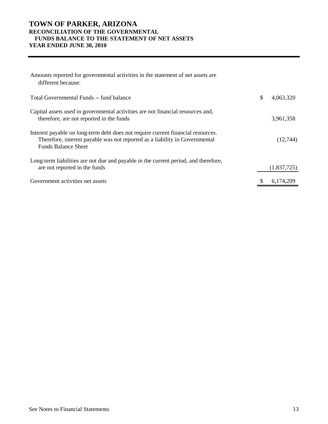# **TOWN OF PARKER, ARIZONA RECONCILIATION OF THE GOVERNMENTAL FUNDS BALANCE TO THE STATEMENT OF NET ASSETS YEAR ENDED JUNE 30, 2010**

| Amounts reported for governmental activities in the statement of net assets are<br>different because:                                                                                         |                 |
|-----------------------------------------------------------------------------------------------------------------------------------------------------------------------------------------------|-----------------|
| Total Governmental Funds -- fund balance                                                                                                                                                      | \$<br>4,063,320 |
| Capital assets used in governmental activities are not financial resources and,<br>therefore, are not reported in the funds                                                                   | 3,961,358       |
| Interest payable on long-term debt does not require current financial resources.<br>Therefore, interest payable was not reported as a liability in Governmental<br><b>Funds Balance Sheet</b> | (12,744)        |
| Long-term liabilities are not due and payable in the current period, and therefore,<br>are not reported in the funds                                                                          | (1,837,725)     |
| Government activities net assets                                                                                                                                                              | 6.174.209       |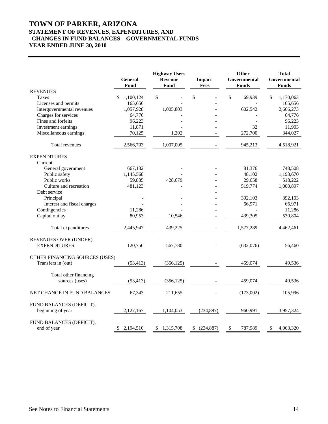# **TOWN OF PARKER, ARIZONA STATEMENT OF REVENUES, EXPENDITURES, AND CHANGES IN FUND BALANCES – GOVERNMENTAL FUNDS YEAR ENDED JUNE 30, 2010**

|                                                      | <b>General</b><br><b>Fund</b> | <b>Highway Users</b><br>Revenue<br>Fund | Impact<br>Fees   | Other<br>Governmental<br><b>Funds</b> | <b>Total</b><br>Governmental<br><b>Funds</b> |  |  |
|------------------------------------------------------|-------------------------------|-----------------------------------------|------------------|---------------------------------------|----------------------------------------------|--|--|
| <b>REVENUES</b>                                      |                               |                                         |                  |                                       |                                              |  |  |
| Taxes                                                | 1,100,124<br>\$               | \$                                      | \$               | \$<br>69,939                          | \$<br>1,170,063                              |  |  |
| Licenses and permits                                 | 165,656                       |                                         |                  |                                       | 165,656                                      |  |  |
| Intergovernmental revenues                           | 1,057,928                     | 1,005,803                               |                  | 602,542                               | 2,666,273                                    |  |  |
| Charges for services                                 | 64,776                        |                                         |                  |                                       | 64,776                                       |  |  |
| Fines and forfeits                                   | 96,223                        |                                         |                  |                                       | 96,223                                       |  |  |
| Investment earnings                                  | 11,871                        |                                         |                  | 32                                    | 11,903                                       |  |  |
| Miscellaneous earnings                               | 70,125                        | 1,202                                   |                  | 272,700                               | 344,027                                      |  |  |
| Total revenues                                       | 2,566,703                     | 1,007,005                               |                  | 945,213                               | 4,518,921                                    |  |  |
| <b>EXPENDITURES</b>                                  |                               |                                         |                  |                                       |                                              |  |  |
| Current                                              |                               |                                         |                  |                                       |                                              |  |  |
| General government                                   | 667,132                       |                                         |                  | 81,376                                | 748,508                                      |  |  |
| Public safety                                        | 1,145,568                     |                                         |                  | 48,102                                | 1,193,670                                    |  |  |
| Public works                                         | 59,885                        | 428,679                                 |                  | 29,658                                | 518,222                                      |  |  |
| Culture and recreation                               | 481,123                       |                                         |                  | 519,774                               | 1,000,897                                    |  |  |
| Debt service                                         |                               |                                         |                  |                                       |                                              |  |  |
| Principal                                            |                               |                                         |                  | 392,103                               | 392,103                                      |  |  |
| Interest and fiscal charges                          |                               |                                         |                  | 66,971                                | 66,971                                       |  |  |
| Contingencies                                        | 11,286                        |                                         |                  |                                       | 11,286                                       |  |  |
| Capital outlay                                       | 80,953                        | 10,546                                  |                  | 439,305                               | 530,804                                      |  |  |
| Total expenditures                                   | 2,445,947                     | 439,225                                 |                  | 1,577,289                             | 4,462,461                                    |  |  |
| REVENUES OVER (UNDER)                                |                               |                                         |                  |                                       |                                              |  |  |
| <b>EXPENDITURES</b>                                  | 120,756                       | 567,780                                 |                  | (632,076)                             | 56,460                                       |  |  |
| OTHER FINANCING SOURCES (USES)<br>Transfers in (out) | (53, 413)                     | (356, 125)                              |                  | 459,074                               | 49,536                                       |  |  |
| Total other financing<br>sources (uses)              | (53, 413)                     | (356, 125)                              |                  | 459,074                               | 49,536                                       |  |  |
| <b>NET CHANGE IN FUND BALANCES</b>                   | 67,343                        | 211,655                                 |                  | (173,002)                             | 105,996                                      |  |  |
| FUND BALANCES (DEFICIT),<br>beginning of year        | 2,127,167                     | 1,104,053                               | (234, 887)       | 960,991                               | 3,957,324                                    |  |  |
| FUND BALANCES (DEFICIT),<br>end of year              | 2,194,510<br>D.               | 1,315,708<br>\$                         | (234, 887)<br>\$ | \$<br>787,989                         | \$<br>4,063,320                              |  |  |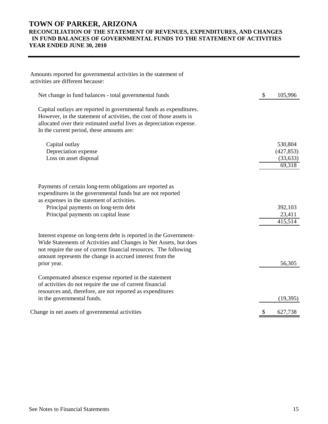# **TOWN OF PARKER, ARIZONA RECONCILIATION OF THE STATEMENT OF REVENUES, EXPENDITURES, AND CHANGES IN FUND BALANCES OF GOVERNMENTAL FUNDS TO THE STATEMENT OF ACTIVITIES YEAR ENDED JUNE 30, 2010**

| Amounts reported for governmental activities in the statement of<br>activities are different because:                                                                                                                                                                                   |                                              |
|-----------------------------------------------------------------------------------------------------------------------------------------------------------------------------------------------------------------------------------------------------------------------------------------|----------------------------------------------|
| Net change in fund balances - total governmental funds                                                                                                                                                                                                                                  | 105,996<br>\$                                |
| Capital outlays are reported in governmental funds as expenditures.<br>However, in the statement of activities, the cost of those assets is<br>allocated over their estimated useful lives as depreciation expense.<br>In the current period, these amounts are:                        |                                              |
| Capital outlay<br>Depreciation expense<br>Loss on asset disposal                                                                                                                                                                                                                        | 530,804<br>(427, 853)<br>(33, 633)<br>69,318 |
| Payments of certain long-term obligations are reported as<br>expenditures in the governmental funds but are not reported<br>as expenses in the statement of activities.<br>Principal payments on long-term debt<br>Principal payments on capital lease                                  | 392,103<br>23,411<br>415,514                 |
| Interest expense on long-term debt is reported in the Government-<br>Wide Statements of Activities and Changes in Net Assets, but does<br>not require the use of current financial resources. The following<br>amount represents the change in accrued interest from the<br>prior year. | 56,305                                       |
| Compensated absence expense reported in the statement<br>of activities do not require the use of current financial<br>resources and, therefore, are not reported as expenditures<br>in the governmental funds.                                                                          | (19, 395)                                    |
| Change in net assets of governmental activities                                                                                                                                                                                                                                         | \$<br>627,738                                |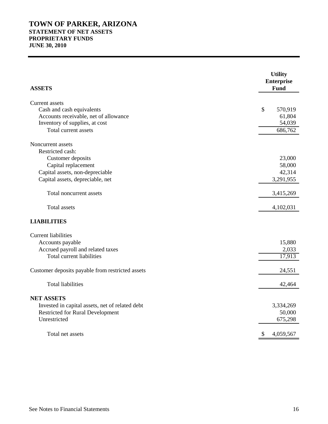# **TOWN OF PARKER, ARIZONA STATEMENT OF NET ASSETS PROPRIETARY FUNDS JUNE 30, 2010**

| <b>ASSETS</b>                                    | <b>Utility</b><br><b>Enterprise</b><br>Fund |
|--------------------------------------------------|---------------------------------------------|
| Current assets                                   |                                             |
| Cash and cash equivalents                        | \$<br>570,919                               |
| Accounts receivable, net of allowance            | 61,804                                      |
| Inventory of supplies, at cost                   | 54,039                                      |
| Total current assets                             | 686,762                                     |
| Noncurrent assets                                |                                             |
| Restricted cash:                                 |                                             |
| Customer deposits                                | 23,000                                      |
| Capital replacement                              | 58,000                                      |
| Capital assets, non-depreciable                  | 42,314                                      |
| Capital assets, depreciable, net                 | 3,291,955                                   |
| Total noncurrent assets                          | 3,415,269                                   |
| <b>Total assets</b>                              | 4,102,031                                   |
| <b>LIABILITIES</b>                               |                                             |
| <b>Current liabilities</b>                       |                                             |
| Accounts payable                                 | 15,880                                      |
| Accrued payroll and related taxes                | 2,033                                       |
| Total current liabilities                        | 17,913                                      |
| Customer deposits payable from restricted assets | 24,551                                      |
| <b>Total liabilities</b>                         | 42,464                                      |
| <b>NET ASSETS</b>                                |                                             |
| Invested in capital assets, net of related debt  | 3,334,269                                   |
| <b>Restricted for Rural Development</b>          | 50,000                                      |
| Unrestricted                                     | 675,298                                     |
| Total net assets                                 | 4,059,567<br>S                              |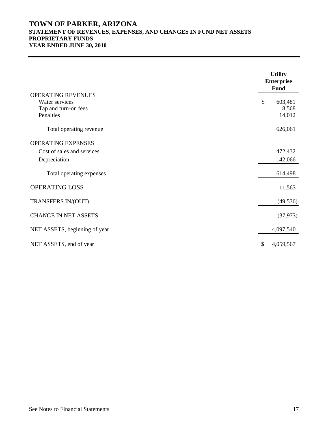# **TOWN OF PARKER, ARIZONA STATEMENT OF REVENUES, EXPENSES, AND CHANGES IN FUND NET ASSETS PROPRIETARY FUNDS YEAR ENDED JUNE 30, 2010**

|                                                                                              | <b>Utility</b><br><b>Enterprise</b><br><b>Fund</b> |
|----------------------------------------------------------------------------------------------|----------------------------------------------------|
| OPERATING REVENUES<br>Water services<br>Tap and turn-on fees<br>Penalties                    | \$<br>603,481<br>8,568<br>14,012                   |
| Total operating revenue                                                                      | 626,061                                            |
| OPERATING EXPENSES<br>Cost of sales and services<br>Depreciation<br>Total operating expenses | 472,432<br>142,066<br>614,498                      |
| <b>OPERATING LOSS</b>                                                                        | 11,563                                             |
| TRANSFERS IN/(OUT)                                                                           | (49, 536)                                          |
| <b>CHANGE IN NET ASSETS</b>                                                                  | (37, 973)                                          |
| NET ASSETS, beginning of year                                                                | 4,097,540                                          |
| NET ASSETS, end of year                                                                      | 4,059,567                                          |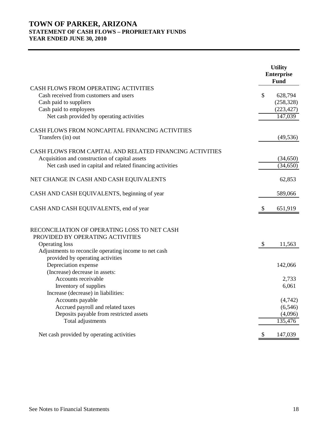# **TOWN OF PARKER, ARIZONA STATEMENT OF CASH FLOWS – PROPRIETARY FUNDS YEAR ENDED JUNE 30, 2010**

|                                                           | <b>Utility</b><br><b>Enterprise</b><br>Fund |
|-----------------------------------------------------------|---------------------------------------------|
| CASH FLOWS FROM OPERATING ACTIVITIES                      |                                             |
| Cash received from customers and users                    | \$<br>628,794                               |
| Cash paid to suppliers                                    | (258, 328)                                  |
| Cash paid to employees                                    | (223, 427)                                  |
| Net cash provided by operating activities                 | 147,039                                     |
| CASH FLOWS FROM NONCAPITAL FINANCING ACTIVITIES           |                                             |
| Transfers (in) out                                        | (49, 536)                                   |
| CASH FLOWS FROM CAPITAL AND RELATED FINANCING ACTIVITIES  |                                             |
| Acquisition and construction of capital assets            | (34,650)                                    |
| Net cash used in capital and related financing activities | (34, 650)                                   |
| NET CHANGE IN CASH AND CASH EQUIVALENTS                   | 62,853                                      |
| CASH AND CASH EQUIVALENTS, beginning of year              | 589,066                                     |
| CASH AND CASH EQUIVALENTS, end of year                    | \$<br>651,919                               |
| RECONCILIATION OF OPERATING LOSS TO NET CASH              |                                             |
| PROVIDED BY OPERATING ACTIVITIES                          |                                             |
| <b>Operating loss</b>                                     | \$<br>11,563                                |
| Adjustments to reconcile operating income to net cash     |                                             |
| provided by operating activities                          |                                             |
| Depreciation expense                                      | 142,066                                     |
| (Increase) decrease in assets:                            |                                             |
| Accounts receivable                                       | 2,733                                       |
| Inventory of supplies                                     | 6,061                                       |
| Increase (decrease) in liabilities:                       |                                             |
| Accounts payable                                          | (4,742)                                     |
| Accrued payroll and related taxes                         | (6, 546)                                    |
| Deposits payable from restricted assets                   | (4,096)                                     |
| Total adjustments                                         | 135,476                                     |
| Net cash provided by operating activities                 | \$<br>147,039                               |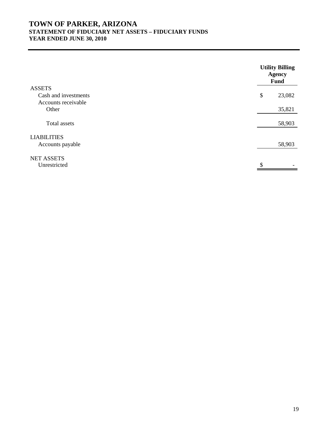# **TOWN OF PARKER, ARIZONA STATEMENT OF FIDUCIARY NET ASSETS – FIDUCIARY FUNDS YEAR ENDED JUNE 30, 2010**

|                      | <b>Utility Billing</b><br><b>Agency</b><br><b>Fund</b> |
|----------------------|--------------------------------------------------------|
| <b>ASSETS</b>        |                                                        |
| Cash and investments | \$<br>23,082                                           |
| Accounts receivable  |                                                        |
| Other                | 35,821                                                 |
| <b>Total assets</b>  | 58,903                                                 |
| <b>LIABILITIES</b>   |                                                        |
| Accounts payable     | 58,903                                                 |
| <b>NET ASSETS</b>    |                                                        |
| Unrestricted         | \$                                                     |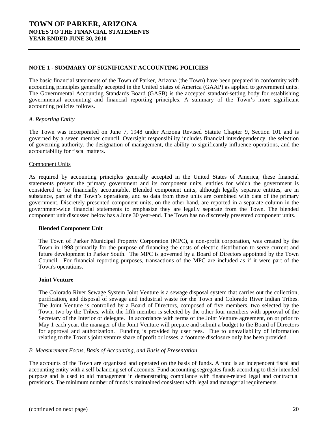# **TOWN OF PARKER, ARIZONA NOTES TO THE FINANCIAL STATEMENTS YEAR ENDED JUNE 30, 2010**

### **NOTE 1 - SUMMARY OF SIGNIFICANT ACCOUNTING POLICIES**

The basic financial statements of the Town of Parker, Arizona (the Town) have been prepared in conformity with accounting principles generally accepted in the United States of America (GAAP) as applied to government units. The Governmental Accounting Standards Board (GASB) is the accepted standard-setting body for establishing governmental accounting and financial reporting principles. A summary of the Town's more significant accounting policies follows.

### *A. Reporting Entity*

The Town was incorporated on June 7, 1948 under Arizona Revised Statute Chapter 9, Section 101 and is governed by a seven member council. Oversight responsibility includes financial interdependency, the selection of governing authority, the designation of management, the ability to significantly influence operations, and the accountability for fiscal matters.

#### Component Units

As required by accounting principles generally accepted in the United States of America, these financial statements present the primary government and its component units, entities for which the government is considered to be financially accountable. Blended component units, although legally separate entities, are in substance, part of the Town's operations, and so data from these units are combined with data of the primary government. Discretely presented component units, on the other hand, are reported in a separate column in the government-wide financial statements to emphasize they are legally separate from the Town. The blended component unit discussed below has a June 30 year-end. The Town has no discretely presented component units.

#### **Blended Component Unit**

The Town of Parker Municipal Property Corporation (MPC), a non-profit corporation, was created by the Town in 1998 primarily for the purpose of financing the costs of electric distribution to serve current and future development in Parker South. The MPC is governed by a Board of Directors appointed by the Town Council. For financial reporting purposes, transactions of the MPC are included as if it were part of the Town's operations.

### **Joint Venture**

The Colorado River Sewage System Joint Venture is a sewage disposal system that carries out the collection, purification, and disposal of sewage and industrial waste for the Town and Colorado River Indian Tribes. The Joint Venture is controlled by a Board of Directors, composed of five members, two selected by the Town, two by the Tribes, while the fifth member is selected by the other four members with approval of the Secretary of the Interior or delegate. In accordance with terms of the Joint Venture agreement, on or prior to May 1 each year, the manager of the Joint Venture will prepare and submit a budget to the Board of Directors for approval and authorization. Funding is provided by user fees. Due to unavailability of information relating to the Town's joint venture share of profit or losses, a footnote disclosure only has been provided.

#### *B. Measurement Focus, Basis of Accounting, and Basis of Presentation*

The accounts of the Town are organized and operated on the basis of funds. A fund is an independent fiscal and accounting entity with a self-balancing set of accounts. Fund accounting segregates funds according to their intended purpose and is used to aid management in demonstrating compliance with finance-related legal and contractual provisions. The minimum number of funds is maintained consistent with legal and managerial requirements.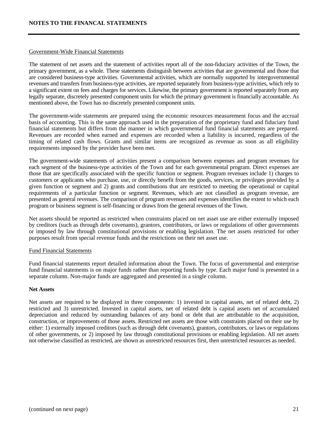### Government-Wide Financial Statements

The statement of net assets and the statement of activities report all of the non-fiduciary activities of the Town, the primary government, as a whole. These statements distinguish between activities that are governmental and those that are considered business-type activities. Governmental activities, which are normally supported by intergovernmental revenues and transfers from business-type activities, are reported separately from business-type activities, which rely to a significant extent on fees and charges for services. Likewise, the primary government is reported separately from any legally separate, discretely presented component units for which the primary government is financially accountable. As mentioned above, the Town has no discretely presented component units.

The government-wide statements are prepared using the economic resources measurement focus and the accrual basis of accounting. This is the same approach used in the preparation of the proprietary fund and fiduciary fund financial statements but differs from the manner in which governmental fund financial statements are prepared. Revenues are recorded when earned and expenses are recorded when a liability is incurred, regardless of the timing of related cash flows. Grants and similar items are recognized as revenue as soon as all eligibility requirements imposed by the provider have been met.

The government-wide statements of activities present a comparison between expenses and program revenues for each segment of the business-type activities of the Town and for each governmental program. Direct expenses are those that are specifically associated with the specific function or segment. Program revenues include 1) charges to customers or applicants who purchase, use, or directly benefit from the goods, services, or privileges provided by a given function or segment and 2) grants and contributions that are restricted to meeting the operational or capital requirements of a particular function or segment. Revenues, which are not classified as program revenue, are presented as general revenues. The comparison of program revenues and expenses identifies the extent to which each program or business segment is self-financing or draws from the general revenues of the Town.

Net assets should be reported as restricted when constraints placed on net asset use are either externally imposed by creditors (such as through debt covenants), grantors, contributors, or laws or regulations of other governments or imposed by law through constitutional provisions or enabling legislation. The net assets restricted for other purposes result from special revenue funds and the restrictions on their net asset use.

#### Fund Financial Statements

Fund financial statements report detailed information about the Town. The focus of governmental and enterprise fund financial statements is on major funds rather than reporting funds by type. Each major fund is presented in a separate column. Non-major funds are aggregated and presented in a single column.

#### **Net Assets**

Net assets are required to be displayed in three components: 1) invested in capital assets, net of related debt, 2) restricted and 3) unrestricted. Invested in capital assets, net of related debt is capital assets net of accumulated depreciation and reduced by outstanding balances of any bond or debt that are attributable to the acquisition, construction, or improvements of those assets. Restricted net assets are those with constraints placed on their use by either: 1) externally imposed creditors (such as through debt covenants), grantors, contributors, or laws or regulations of other governments, or 2) imposed by law through constitutional provisions or enabling legislation. All net assets not otherwise classified as restricted, are shown as unrestricted resources first, then unrestricted resources as needed.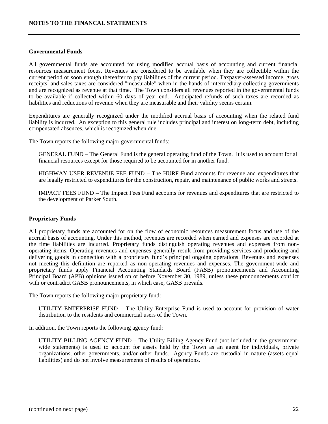#### **Governmental Funds**

All governmental funds are accounted for using modified accrual basis of accounting and current financial resources measurement focus. Revenues are considered to be available when they are collectible within the current period or soon enough thereafter to pay liabilities of the current period. Taxpayer-assessed income, gross receipts, and sales taxes are considered "measurable" when in the hands of intermediary collecting governments and are recognized as revenue at that time. The Town considers all revenues reported in the governmental funds to be available if collected within 60 days of year end. Anticipated refunds of such taxes are recorded as liabilities and reductions of revenue when they are measurable and their validity seems certain.

Expenditures are generally recognized under the modified accrual basis of accounting when the related fund liability is incurred. An exception to this general rule includes principal and interest on long-term debt, including compensated absences, which is recognized when due.

The Town reports the following major governmental funds:

 GENERAL FUND – The General Fund is the general operating fund of the Town. It is used to account for all financial resources except for those required to be accounted for in another fund.

 HIGHWAY USER REVENUE FEE FUND – The HURF Fund accounts for revenue and expenditures that are legally restricted to expenditures for the construction, repair, and maintenance of public works and streets.

 IMPACT FEES FUND – The Impact Fees Fund accounts for revenues and expenditures that are restricted to the development of Parker South.

#### **Proprietary Funds**

All proprietary funds are accounted for on the flow of economic resources measurement focus and use of the accrual basis of accounting. Under this method, revenues are recorded when earned and expenses are recorded at the time liabilities are incurred. Proprietary funds distinguish operating revenues and expenses from nonoperating items. Operating revenues and expenses generally result from providing services and producing and delivering goods in connection with a proprietary fund's principal ongoing operations. Revenues and expenses not meeting this definition are reported as non-operating revenues and expenses. The government-wide and proprietary funds apply Financial Accounting Standards Board (FASB) pronouncements and Accounting Principal Board (APB) opinions issued on or before November 30, 1989, unless these pronouncements conflict with or contradict GASB pronouncements, in which case, GASB prevails.

The Town reports the following major proprietary fund:

 UTILITY ENTERPRISE FUND – The Utility Enterprise Fund is used to account for provision of water distribution to the residents and commercial users of the Town.

In addition, the Town reports the following agency fund:

 UTILITY BILLING AGENCY FUND – The Utility Billing Agency Fund (not included in the governmentwide statements) is used to account for assets held by the Town as an agent for individuals, private organizations, other governments, and/or other funds. Agency Funds are custodial in nature (assets equal liabilities) and do not involve measurements of results of operations.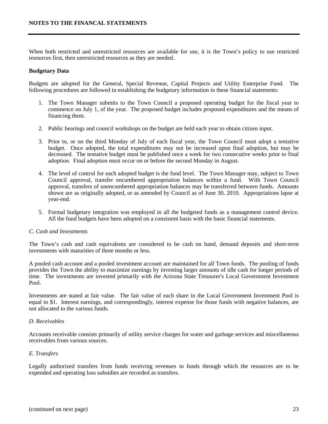When both restricted and unrestricted resources are available for use, it is the Town's policy to use restricted resources first, then unrestricted resources as they are needed.

### **Budgetary Data**

Budgets are adopted for the General, Special Revenue, Capital Projects and Utility Enterprise Fund. The following procedures are followed in establishing the budgetary information in these financial statements:

- 1. The Town Manager submits to the Town Council a proposed operating budget for the fiscal year to commence on July 1, of the year. The proposed budget includes proposed expenditures and the means of financing them.
- 2. Public hearings and council workshops on the budget are held each year to obtain citizen input.
- 3. Prior to, or on the third Monday of July of each fiscal year, the Town Council must adopt a tentative budget. Once adopted, the total expenditures may not be increased upon final adoption, but may be decreased. The tentative budget must be published once a week for two consecutive weeks prior to final adoption. Final adoption must occur on or before the second Monday in August.
- 4. The level of control for each adopted budget is the fund level. The Town Manager may, subject to Town Council approval, transfer encumbered appropriation balances within a fund. With Town Council approval, transfers of unencumbered appropriation balances may be transferred between funds. Amounts shown are as originally adopted, or as amended by Council as of June 30, 2010. Appropriations lapse at year-end.
- 5. Formal budgetary integration was employed in all the budgeted funds as a management control device. All the fund budgets have been adopted on a consistent basis with the basic financial statements.

#### *C. Cash and Investments*

The Town's cash and cash equivalents are considered to be cash on hand, demand deposits and short-term investments with maturities of three months or less.

A pooled cash account and a pooled investment account are maintained for all Town funds. The pooling of funds provides the Town the ability to maximize earnings by investing larger amounts of idle cash for longer periods of time. The investments are invested primarily with the Arizona State Treasurer's Local Government Investment Pool.

Investments are stated at fair value. The fair value of each share in the Local Government Investment Pool is equal to \$1. Interest earnings, and correspondingly, interest expense for those funds with negative balances, are not allocated to the various funds.

#### *D. Receivables*

Accounts receivable consists primarily of utility service charges for water and garbage services and miscellaneous receivables from various sources.

### *E. Transfers*

Legally authorized transfers from funds receiving revenues to funds through which the resources are to be expended and operating loss subsidies are recorded as transfers.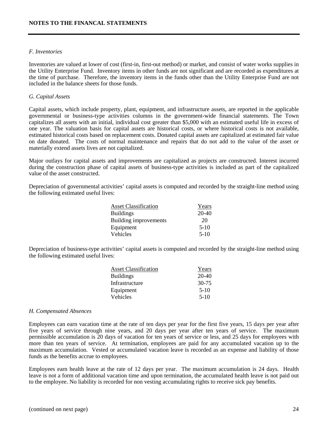#### *F. Inventories*

Inventories are valued at lower of cost (first-in, first-out method) or market, and consist of water works supplies in the Utility Enterprise Fund. Inventory items in other funds are not significant and are recorded as expenditures at the time of purchase. Therefore, the inventory items in the funds other than the Utility Enterprise Fund are not included in the balance sheets for those funds.

### *G. Capital Assets*

Capital assets, which include property, plant, equipment, and infrastructure assets, are reported in the applicable governmental or business-type activities columns in the government-wide financial statements. The Town capitalizes all assets with an initial, individual cost greater than \$5,000 with an estimated useful life in excess of one year. The valuation basis for capital assets are historical costs, or where historical costs is not available, estimated historical costs based on replacement costs. Donated capital assets are capitalized at estimated fair value on date donated. The costs of normal maintenance and repairs that do not add to the value of the asset or materially extend assets lives are not capitalized.

Major outlays for capital assets and improvements are capitalized as projects are constructed. Interest incurred during the construction phase of capital assets of business-type activities is included as part of the capitalized value of the asset constructed.

Depreciation of governmental activities' capital assets is computed and recorded by the straight-line method using the following estimated useful lives:

| <b>Asset Classification</b> | Years   |
|-----------------------------|---------|
| <b>Buildings</b>            | $20-40$ |
| Building improvements       | 20      |
| Equipment                   | $5-10$  |
| Vehicles                    | $5-10$  |

Depreciation of business-type activities' capital assets is computed and recorded by the straight-line method using the following estimated useful lives:

| <b>Asset Classification</b> | Years     |
|-----------------------------|-----------|
| <b>Buildings</b>            | $20-40$   |
| Infrastructure              | $30 - 75$ |
| Equipment                   | $5-10$    |
| Vehicles                    | $5-10$    |
|                             |           |

#### *H. Compensated Absences*

Employees can earn vacation time at the rate of ten days per year for the first five years, 15 days per year after five years of service through nine years, and 20 days per year after ten years of service. The maximum permissible accumulation is 20 days of vacation for ten years of service or less, and 25 days for employees with more than ten years of service. At termination, employees are paid for any accumulated vacation up to the maximum accumulation. Vested or accumulated vacation leave is recorded as an expense and liability of those funds as the benefits accrue to employees.

Employees earn health leave at the rate of 12 days per year. The maximum accumulation is 24 days. Health leave is not a form of additional vacation time and upon termination, the accumulated health leave is not paid out to the employee. No liability is recorded for non vesting accumulating rights to receive sick pay benefits.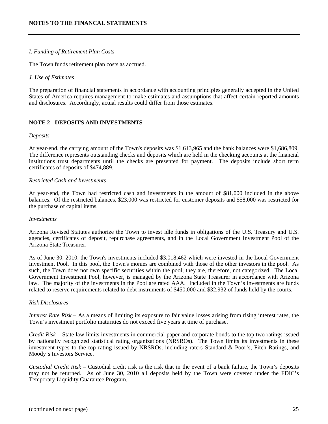### *I. Funding of Retirement Plan Costs*

The Town funds retirement plan costs as accrued.

#### *J. Use of Estimates*

The preparation of financial statements in accordance with accounting principles generally accepted in the United States of America requires management to make estimates and assumptions that affect certain reported amounts and disclosures. Accordingly, actual results could differ from those estimates.

### **NOTE 2 - DEPOSITS AND INVESTMENTS**

#### *Deposits*

At year-end, the carrying amount of the Town's deposits was \$1,613,965 and the bank balances were \$1,686,809. The difference represents outstanding checks and deposits which are held in the checking accounts at the financial institutions trust departments until the checks are presented for payment. The deposits include short term certificates of deposits of \$474,889.

#### *Restricted Cash and Investments*

At year-end, the Town had restricted cash and investments in the amount of \$81,000 included in the above balances. Of the restricted balances, \$23,000 was restricted for customer deposits and \$58,000 was restricted for the purchase of capital items.

#### *Investments*

Arizona Revised Statutes authorize the Town to invest idle funds in obligations of the U.S. Treasury and U.S. agencies, certificates of deposit, repurchase agreements, and in the Local Government Investment Pool of the Arizona State Treasurer.

As of June 30, 2010, the Town's investments included \$3,018,462 which were invested in the Local Government Investment Pool. In this pool, the Town's monies are combined with those of the other investors in the pool. As such, the Town does not own specific securities within the pool; they are, therefore, not categorized. The Local Government Investment Pool, however, is managed by the Arizona State Treasurer in accordance with Arizona law. The majority of the investments in the Pool are rated AAA. Included in the Town's investments are funds related to reserve requirements related to debt instruments of \$450,000 and \$32,932 of funds held by the courts.

#### *Risk Disclosures*

*Interest Rate Risk* – As a means of limiting its exposure to fair value losses arising from rising interest rates, the Town's investment portfolio maturities do not exceed five years at time of purchase.

*Credit Risk* – State law limits investments in commercial paper and corporate bonds to the top two ratings issued by nationally recognized statistical rating organizations (NRSROs). The Town limits its investments in these investment types to the top rating issued by NRSROs, including raters Standard & Poor's, Fitch Ratings, and Moody's Investors Service.

*Custodial Credit Risk* – Custodial credit risk is the risk that in the event of a bank failure, the Town's deposits may not be returned. As of June 30, 2010 all deposits held by the Town were covered under the FDIC's Temporary Liquidity Guarantee Program.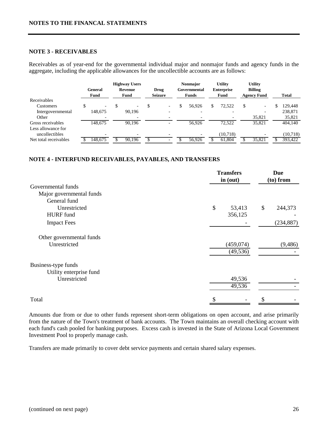### **NOTE 3 - RECEIVABLES**

Receivables as of year-end for the governmental individual major and nonmajor funds and agency funds in the aggregate, including the applicable allowances for the uncollectible accounts are as follows:

|                       |   |                          | <b>Highway Users</b>     |                          | <b>Nonmajor</b>          |   | <b>Utility</b>    |     | <b>Utility</b>           |              |
|-----------------------|---|--------------------------|--------------------------|--------------------------|--------------------------|---|-------------------|-----|--------------------------|--------------|
|                       |   | General                  | Revenue                  | Drug                     | Governmental             |   | <b>Enterprise</b> |     | <b>Billing</b>           |              |
|                       |   | <b>Fund</b>              | <b>Fund</b>              | <b>Seizure</b>           | <b>Funds</b>             |   | <b>Fund</b>       |     | <b>Agency Fund</b>       | <b>Total</b> |
| Receivables           |   |                          |                          |                          |                          |   |                   |     |                          |              |
| <b>Customers</b>      | S | $\overline{\phantom{a}}$ | $\overline{\phantom{0}}$ | $\overline{\phantom{a}}$ | \$<br>56,926             | S | 72,522            | \$. | $\overline{\phantom{0}}$ | 129.448      |
| Intergovernmental     |   | 148.675                  | 90.196                   |                          | $\overline{\phantom{0}}$ |   |                   |     |                          | 238,871      |
| Other                 |   |                          |                          |                          |                          |   |                   |     | 35.821                   | 35,821       |
| Gross receivables     |   | 148,675                  | 90,196                   | $\overline{\phantom{0}}$ | 56,926                   |   | 72,522            |     | 35,821                   | 404,140      |
| Less allowance for    |   |                          |                          |                          |                          |   |                   |     |                          |              |
| uncollectibles        |   |                          |                          |                          |                          |   | (10, 718)         |     |                          | (10, 718)    |
| Net total receivables |   | 148.675                  | 90,196                   |                          | 56,926                   |   | 61,804            |     | 35,821                   | 393,422      |

### **NOTE 4 - INTERFUND RECEIVABLES, PAYABLES, AND TRANSFERS**

|                          | <b>Transfers</b><br>in (out) | <b>Due</b><br>(to) from |  |  |
|--------------------------|------------------------------|-------------------------|--|--|
| Governmental funds       |                              |                         |  |  |
| Major governmental funds |                              |                         |  |  |
| General fund             |                              |                         |  |  |
| Unrestricted             | \$<br>53,413                 | \$<br>244,373           |  |  |
| <b>HURF</b> fund         | 356,125                      |                         |  |  |
| <b>Impact Fees</b>       |                              | (234, 887)              |  |  |
| Other governmental funds |                              |                         |  |  |
| Unrestricted             | (459, 074)                   | (9,486)                 |  |  |
|                          | (49, 536)                    |                         |  |  |
| Business-type funds      |                              |                         |  |  |
| Utility enterprise fund  |                              |                         |  |  |
| Unrestricted             | 49,536                       |                         |  |  |
|                          | 49,536                       |                         |  |  |
| Total                    | \$                           | \$                      |  |  |

Amounts due from or due to other funds represent short-term obligations on open account, and arise primarily from the nature of the Town's treatment of bank accounts. The Town maintains an overall checking account with each fund's cash pooled for banking purposes. Excess cash is invested in the State of Arizona Local Government Investment Pool to properly manage cash.

Transfers are made primarily to cover debt service payments and certain shared salary expenses.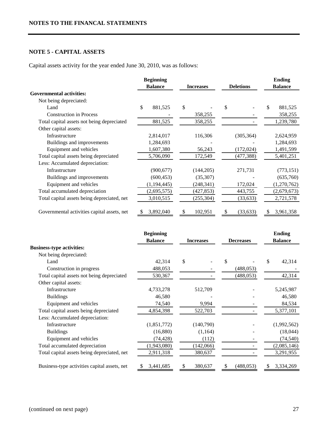# **NOTE 5 - CAPITAL ASSETS**

Capital assets activity for the year ended June 30, 2010, was as follows:

|                                             | <b>Beginning</b> |                  |                  | <b>Ending</b><br><b>Balance</b> |  |
|---------------------------------------------|------------------|------------------|------------------|---------------------------------|--|
|                                             | <b>Balance</b>   | <b>Increases</b> | <b>Deletions</b> |                                 |  |
| <b>Governmental activities:</b>             |                  |                  |                  |                                 |  |
| Not being depreciated:                      |                  |                  |                  |                                 |  |
| Land                                        | \$<br>881,525    | \$               | \$               | \$<br>881,525                   |  |
| <b>Construction in Process</b>              |                  | 358,255          |                  | 358,255                         |  |
| Total capital assets not being depreciated  | 881,525          | 358,255          |                  | 1,239,780                       |  |
| Other capital assets:                       |                  |                  |                  |                                 |  |
| Infrastructure                              | 2,814,017        | 116,306          | (305, 364)       | 2,624,959                       |  |
| Buildings and improvements                  | 1,284,693        |                  |                  | 1,284,693                       |  |
| Equipment and vehicles                      | 1,607,380        | 56,243           | (172, 024)       | 1,491,599                       |  |
| Total capital assets being depreciated      | 5,706,090        | 172,549          | (477, 388)       | 5,401,251                       |  |
| Less: Accumulated depreciation:             |                  |                  |                  |                                 |  |
| Infrastructure                              | (900, 677)       | (144,205)        | 271,731          | (773, 151)                      |  |
| Buildings and improvements                  | (600, 453)       | (35,307)         |                  | (635,760)                       |  |
| Equipment and vehicles                      | (1, 194, 445)    | (248, 341)       | 172,024          | (1,270,762)                     |  |
| Total accumulated depreciation              | (2,695,575)      | (427, 853)       | 443,755          | (2,679,673)                     |  |
| Total capital assets being depreciated, net | 3,010,515        | (255, 304)       | (33, 633)        | 2,721,578                       |  |
| Governmental activities capital assets, net | 3,892,040        | 102,951          | (33, 633)        | 3,961,358                       |  |

|                                              | <b>Beginning</b> |                  |                  | <b>Ending</b>  |  |
|----------------------------------------------|------------------|------------------|------------------|----------------|--|
|                                              | <b>Balance</b>   | <b>Increases</b> | <b>Decreases</b> | <b>Balance</b> |  |
| <b>Business-type activities:</b>             |                  |                  |                  |                |  |
| Not being depreciated:                       |                  |                  |                  |                |  |
| Land                                         | 42,314           | \$               | \$               | \$<br>42,314   |  |
| Construction in progress                     | 488,053          |                  | (488, 053)       |                |  |
| Total capital assets not being depreciated   | 530,367          |                  | (488, 053)       | 42,314         |  |
| Other capital assets:                        |                  |                  |                  |                |  |
| Infrastructure                               | 4,733,278        | 512,709          |                  | 5,245,987      |  |
| <b>Buildings</b>                             | 46,580           |                  |                  | 46,580         |  |
| Equipment and vehicles                       | 74,540           | 9,994            |                  | 84,534         |  |
| Total capital assets being depreciated       | 4,854,398        | 522,703          |                  | 5,377,101      |  |
| Less: Accumulated depreciation:              |                  |                  |                  |                |  |
| Infrastructure                               | (1,851,772)      | (140,790)        |                  | (1,992,562)    |  |
| <b>Buildings</b>                             | (16,880)         | (1,164)          |                  | (18,044)       |  |
| Equipment and vehicles                       | (74, 428)        | (112)            |                  | (74, 540)      |  |
| Total accumulated depreciation               | (1,943,080)      | (142,066)        |                  | (2,085,146)    |  |
| Total capital assets being depreciated, net  | 2,911,318        | 380,637          |                  | 3,291,955      |  |
| Business-type activities capital assets, net | 3,441,685        | \$<br>380,637    | \$<br>(488, 053) | 3,334,269      |  |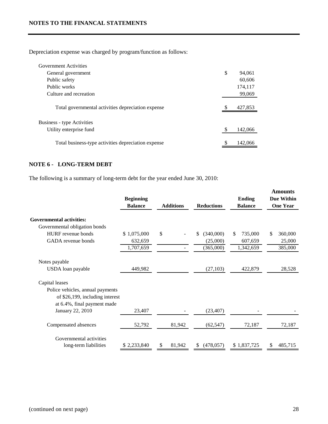Depreciation expense was charged by program/function as follows:

| Government Activities                               |              |
|-----------------------------------------------------|--------------|
| General government                                  | \$<br>94.061 |
| Public safety                                       | 60,606       |
| Public works                                        | 174,117      |
| Culture and recreation                              | 99,069       |
| Total governmental activities depreciation expense  | 427,853      |
| <b>Business - type Activities</b>                   |              |
| Utility enterprise fund                             | 142,066      |
| Total business-type activities depreciation expense | 142,066      |

### **NOTE 6 - LONG-TERM DEBT**

The following is a summary of long-term debt for the year ended June 30, 2010:

|                                  | <b>Beginning</b><br><b>Balance</b> | <b>Additions</b> | <b>Reductions</b>            | <b>Ending</b><br><b>Balance</b> | <b>Amounts</b><br><b>Due Within</b><br><b>One Year</b> |
|----------------------------------|------------------------------------|------------------|------------------------------|---------------------------------|--------------------------------------------------------|
| <b>Governmental activities:</b>  |                                    |                  |                              |                                 |                                                        |
| Governmental obligation bonds    |                                    |                  |                              |                                 |                                                        |
| <b>HURF</b> revenue bonds        | \$1,075,000                        | $\mathbb{S}$     | \$<br>(340,000)              | 735,000<br>\$.                  | 360,000<br>\$                                          |
| GADA revenue bonds               | 632,659                            |                  | (25,000)                     | 607,659                         | 25,000                                                 |
|                                  | 1,707,659                          |                  | (365,000)                    | 1,342,659                       | 385,000                                                |
| Notes payable                    |                                    |                  |                              |                                 |                                                        |
| USDA loan payable                | 449,982                            |                  | (27, 103)                    | 422,879                         | 28,528                                                 |
| Capital leases                   |                                    |                  |                              |                                 |                                                        |
| Police vehicles, annual payments |                                    |                  |                              |                                 |                                                        |
| of \$26,199, including interest  |                                    |                  |                              |                                 |                                                        |
| at 6.4%, final payment made      |                                    |                  |                              |                                 |                                                        |
| January 22, 2010                 | 23,407                             |                  | (23, 407)                    |                                 |                                                        |
| Compensated absences             | 52,792                             | 81,942           | (62, 547)                    | 72,187                          | 72,187                                                 |
| Governmental activities          |                                    |                  |                              |                                 |                                                        |
| long-term liabilities            | \$2,233,840                        | \$<br>81,942     | $\mathbb{S}^-$<br>(478, 057) | \$1,837,725                     | 485,715<br>\$                                          |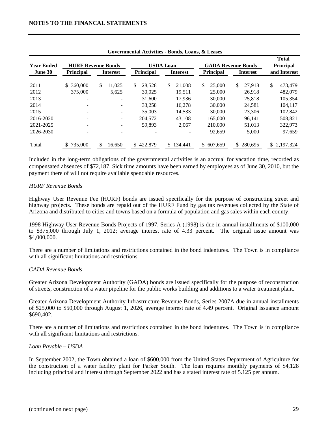| <b>Year Ended</b> |                  | <b>HURF Revenue Bonds</b> |                  | <b>USDA Loan</b> |                  | <b>GADA Revenue Bonds</b> |               |  |
|-------------------|------------------|---------------------------|------------------|------------------|------------------|---------------------------|---------------|--|
| June 30           | <b>Principal</b> | <b>Interest</b>           | <b>Principal</b> | <b>Interest</b>  | <b>Principal</b> | <b>Interest</b>           | and Interest  |  |
| 2011              | \$360,000        | $\mathbb{S}$<br>11,025    | \$<br>28,528     | \$<br>21,008     | 25,000<br>\$.    | \$<br>27,918              | \$<br>473,479 |  |
| 2012              | 375,000          | 5,625                     | 30.025           | 19.511           | 25,000           | 26.918                    | 482,079       |  |
| 2013              |                  |                           | 31,600           | 17.936           | 30,000           | 25,818                    | 105,354       |  |
| 2014              |                  |                           | 33.258           | 16.278           | 30,000           | 24,581                    | 104,117       |  |
| 2015              |                  |                           | 35,003           | 14.533           | 30,000           | 23,306                    | 102,842       |  |
| 2016-2020         |                  |                           | 204,572          | 43,108           | 165,000          | 96.141                    | 508,821       |  |
| 2021-2025         |                  |                           | 59.893           | 2.067            | 210,000          | 51.013                    | 322,973       |  |
| 2026-2030         |                  |                           |                  |                  | 92,659           | 5,000                     | 97,659        |  |
| Total             | 735,000          | 16.650                    | 422,879          | 134,441<br>SS.   | 607.659<br>SS.   | 280.695<br>S.             | \$2,197,324   |  |

**Governmental Activities - Bonds, Loans, & Leases**

Included in the long-term obligations of the governmental activities is an accrual for vacation time, recorded as compensated absences of \$72,187. Sick time amounts have been earned by employees as of June 30, 2010, but the payment there of will not require available spendable resources.

### *HURF Revenue Bonds*

Highway User Revenue Fee (HURF) bonds are issued specifically for the purpose of constructing street and highway projects. These bonds are repaid out of the HURF Fund by gas tax revenues collected by the State of Arizona and distributed to cities and towns based on a formula of population and gas sales within each county.

1998 Highway User Revenue Bonds Projects of 1997, Series A (1998) is due in annual installments of \$100,000 to \$375,000 through July 1, 2012; average interest rate of 4.33 percent. The original issue amount was \$4,000,000.

There are a number of limitations and restrictions contained in the bond indentures. The Town is in compliance with all significant limitations and restrictions.

### *GADA Revenue Bonds*

Greater Arizona Development Authority (GADA) bonds are issued specifically for the purpose of reconstruction of streets, construction of a water pipeline for the public works building and additions to a water treatment plant.

Greater Arizona Development Authority Infrastructure Revenue Bonds, Series 2007A due in annual installments of \$25,000 to \$50,000 through August 1, 2026, average interest rate of 4.49 percent. Original issuance amount \$690,402.

There are a number of limitations and restrictions contained in the bond indentures. The Town is in compliance with all significant limitations and restrictions.

### *Loan Payable – USDA*

In September 2002, the Town obtained a loan of \$600,000 from the United States Department of Agriculture for the construction of a water facility plant for Parker South. The loan requires monthly payments of \$4,128 including principal and interest through September 2022 and has a stated interest rate of 5.125 per annum.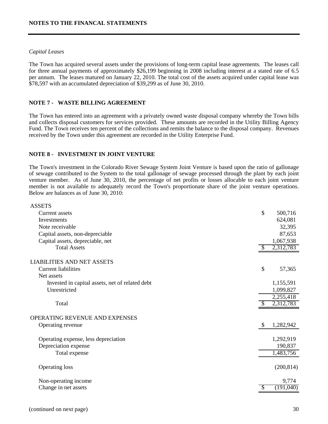### *Capital Leases*

The Town has acquired several assets under the provisions of long-term capital lease agreements. The leases call for three annual payments of approximately \$26,199 beginning in 2008 including interest at a stated rate of 6.5 per annum. The leases matured on January 22, 2010. The total cost of the assets acquired under capital lease was \$78,597 with an accumulated depreciation of \$39,299 as of June 30, 2010.

### **NOTE 7 - WASTE BILLING AGREEMENT**

The Town has entered into an agreement with a privately owned waste disposal company whereby the Town bills and collects disposal customers for services provided. These amounts are recorded in the Utility Billing Agency Fund. The Town receives ten percent of the collections and remits the balance to the disposal company. Revenues received by the Town under this agreement are recorded in the Utility Enterprise Fund.

### **NOTE 8 - INVESTMENT IN JOINT VENTURE**

The Town's investment in the Colorado River Sewage System Joint Venture is based upon the ratio of gallonage of sewage contributed to the System to the total gallonage of sewage processed through the plant by each joint venture member. As of June 30, 2010, the percentage of net profits or losses allocable to each joint venture member is not available to adequately record the Town's proportionate share of the joint venture operations. Below are balances as of June 30, 2010:

| <b>ASSETS</b>                                   |    |            |
|-------------------------------------------------|----|------------|
| Current assets                                  | \$ | 500,716    |
| Investments                                     |    | 624,081    |
| Note receivable                                 |    | 32,395     |
| Capital assets, non-depreciable                 |    | 87,653     |
| Capital assets, depreciable, net                |    | 1,067,938  |
| <b>Total Assets</b>                             |    | 2,312,783  |
| <b>LIABILITIES AND NET ASSETS</b>               |    |            |
| <b>Current liabilities</b>                      | \$ | 57,365     |
| Net assets                                      |    |            |
| Invested in capital assets, net of related debt |    | 1,155,591  |
| Unrestricted                                    |    | 1,099,827  |
|                                                 |    | 2,255,418  |
| Total                                           |    | 2,312,783  |
| OPERATING REVENUE AND EXPENSES                  |    |            |
| Operating revenue                               | S  | 1,282,942  |
| Operating expense, less depreciation            |    | 1,292,919  |
| Depreciation expense                            |    | 190,837    |
| Total expense                                   |    | 1,483,756  |
| <b>Operating loss</b>                           |    | (200, 814) |
| Non-operating income                            |    | 9,774      |
| Change in net assets                            |    | (191,040)  |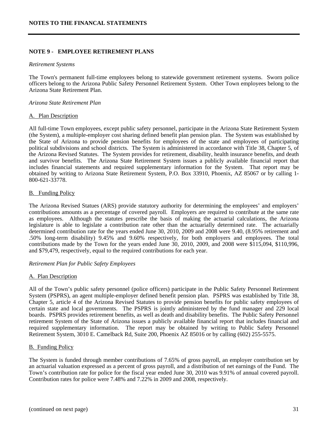### **NOTE 9 - EMPLOYEE RETIREMENT PLANS**

#### *Retirement Systems*

The Town's permanent full-time employees belong to statewide government retirement systems. Sworn police officers belong to the Arizona Public Safety Personnel Retirement System. Other Town employees belong to the Arizona State Retirement Plan.

#### *Arizona State Retirement Plan*

#### A. Plan Description

All full-time Town employees, except public safety personnel, participate in the Arizona State Retirement System (the System), a multiple-employer cost sharing defined benefit plan pension plan. The System was established by the State of Arizona to provide pension benefits for employees of the state and employees of participating political subdivisions and school districts. The System is administered in accordance with Title 38, Chapter 5, of the Arizona Revised Statutes. The System provides for retirement, disability, health insurance benefits, and death and survivor benefits. The Arizona State Retirement System issues a publicly available financial report that includes financial statements and required supplementary information for the System. That report may be obtained by writing to Arizona State Retirement System, P.O. Box 33910, Phoenix, AZ 85067 or by calling 1- 800-621-33778.

#### B. Funding Policy

The Arizona Revised Statues (ARS) provide statutory authority for determining the employees' and employers' contributions amounts as a percentage of covered payroll. Employers are required to contribute at the same rate as employees. Although the statutes prescribe the basis of making the actuarial calculations, the Arizona legislature is able to legislate a contribution rate other than the actuarially determined rate. The actuarially determined contribution rate for the years ended June 30, 2010, 2009 and 2008 were 9.40, (8.95% retirement and .50% long-term disability) 9.45% and 9.60% respectively, for both employers and employees. The total contributions made by the Town for the years ended June 30, 2010, 2009, and 2008 were \$115,094, \$110,996, and \$79,479, respectively, equal to the required contributions for each year.

#### *Retirement Plan for Public Safety Employees*

#### A. Plan Description

All of the Town's public safety personnel (police officers) participate in the Public Safety Personnel Retirement System (PSPRS), an agent multiple-employer defined benefit pension plan. PSPRS was established by Title 38, Chapter 5, article 4 of the Arizona Revised Statutes to provide pension benefits for public safety employees of certain state and local governments. The PSPRS is jointly administered by the fund manager and 229 local boards. PSPRS provides retirement benefits, as well as death and disability benefits. The Public Safety Personnel retirement System of the State of Arizona issues a publicly available financial report that includes financial and required supplementary information. The report may be obtained by writing to Public Safety Personnel Retirement System, 3010 E. Camelback Rd, Suite 200, Phoenix AZ 85016 or by calling (602) 255-5575.

### B. Funding Policy

The System is funded through member contributions of 7.65% of gross payroll, an employer contribution set by an actuarial valuation expressed as a percent of gross payroll, and a distribution of net earnings of the Fund. The Town's contribution rate for police for the fiscal year ended June 30, 2010 was 9.91% of annual covered payroll. Contribution rates for police were 7.48% and 7.22% in 2009 and 2008, respectively.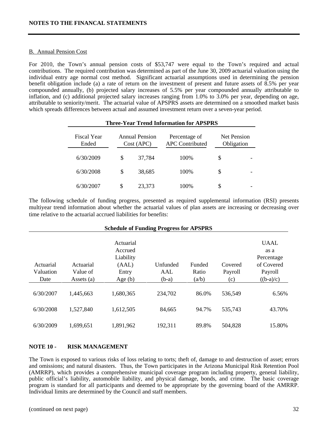#### B. Annual Pension Cost

For 2010, the Town's annual pension costs of \$53,747 were equal to the Town's required and actual contributions. The required contribution was determined as part of the June 30, 2009 actuarial valuation using the individual entry age normal cost method. Significant actuarial assumptions used in determining the pension benefit obligation include (a) a rate of return on the investment of present and future assets of 8.5% per year compounded annually, (b) projected salary increases of 5.5% per year compounded annually attributable to inflation, and (c) additional projected salary increases ranging from 1.0% to 3.0% per year, depending on age, attributable to seniority/merit. The actuarial value of APSPRS assets are determined on a smoothed market basis which spreads differences between actual and assumed investment return over a seven-year period.

| <b>Three-Year Trend Information for APSPRS</b> |    |                                     |                                         |                                  |  |  |  |
|------------------------------------------------|----|-------------------------------------|-----------------------------------------|----------------------------------|--|--|--|
| Fiscal Year<br>Ended                           |    | <b>Annual Pension</b><br>Cost (APC) | Percentage of<br><b>APC</b> Contributed | <b>Net Pension</b><br>Obligation |  |  |  |
| 6/30/2009                                      | S  | 37,784                              | 100%                                    | S                                |  |  |  |
| 6/30/2008                                      | \$ | 38,685                              | 100%                                    | S                                |  |  |  |
| 6/30/2007                                      | S  | 23,373                              | 100%                                    | S                                |  |  |  |

The following schedule of funding progress, presented as required supplemental information (RSI) presents multiyear trend information about whether the actuarial values of plan assets are increasing or decreasing over time relative to the actuarial accrued liabilities for benefits:

| <b>Schedule of Funding Progress for APSPRS</b> |                                       |                                                                  |                            |                          |                           |                                                                           |  |  |
|------------------------------------------------|---------------------------------------|------------------------------------------------------------------|----------------------------|--------------------------|---------------------------|---------------------------------------------------------------------------|--|--|
| Actuarial<br>Valuation<br>Date                 | Actuarial<br>Value of<br>Assets $(a)$ | Actuarial<br>Accrued<br>Liability<br>(AAL)<br>Entry<br>Age $(b)$ | Unfunded<br>AAL<br>$(b-a)$ | Funded<br>Ratio<br>(a/b) | Covered<br>Payroll<br>(c) | <b>UAAL</b><br>as a<br>Percentage<br>of Covered<br>Payroll<br>$((b-a)/c)$ |  |  |
| 6/30/2007                                      | 1,445,663                             | 1,680,365                                                        | 234,702                    | 86.0%                    | 536,549                   | 6.56%                                                                     |  |  |
| 6/30/2008                                      | 1,527,840                             | 1,612,505                                                        | 84,665                     | 94.7%                    | 535,743                   | 43.70%                                                                    |  |  |
| 6/30/2009                                      | 1,699,651                             | 1,891,962                                                        | 192,311                    | 89.8%                    | 504,828                   | 15.80%                                                                    |  |  |

### **NOTE 10 - RISK MANAGEMENT**

The Town is exposed to various risks of loss relating to torts; theft of, damage to and destruction of asset; errors and omissions; and natural disasters. Thus, the Town participates in the Arizona Municipal Risk Retention Pool (AMRRP), which provides a comprehensive municipal coverage program including property, general liability, public official's liability, automobile liability, and physical damage, bonds, and crime. The basic coverage program is standard for all participants and deemed to be appropriate by the governing board of the AMRRP. Individual limits are determined by the Council and staff members.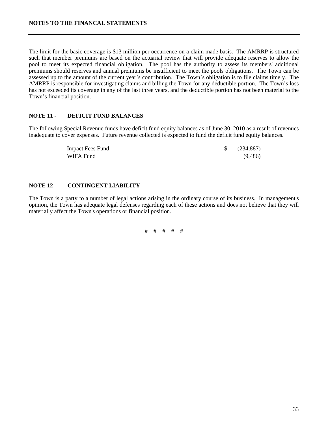The limit for the basic coverage is \$13 million per occurrence on a claim made basis. The AMRRP is structured such that member premiums are based on the actuarial review that will provide adequate reserves to allow the pool to meet its expected financial obligation. The pool has the authority to assess its members' additional premiums should reserves and annual premiums be insufficient to meet the pools obligations. The Town can be assessed up to the amount of the current year's contribution. The Town's obligation is to file claims timely. The AMRRP is responsible for investigating claims and billing the Town for any deductible portion. The Town's loss has not exceeded its coverage in any of the last three years, and the deductible portion has not been material to the Town's financial position.

### **NOTE 11 - DEFICIT FUND BALANCES**

The following Special Revenue funds have deficit fund equity balances as of June 30, 2010 as a result of revenues inadequate to cover expenses. Future revenue collected is expected to fund the deficit fund equity balances.

| <b>Impact Fees Fund</b> | (234, 887) |
|-------------------------|------------|
| WIFA Fund               | (9,486)    |

### **NOTE 12 - CONTINGENT LIABILITY**

The Town is a party to a number of legal actions arising in the ordinary course of its business. In management's opinion, the Town has adequate legal defenses regarding each of these actions and does not believe that they will materially affect the Town's operations or financial position.

# # # # #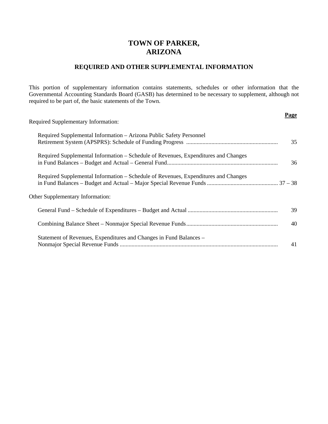# **TOWN OF PARKER, ARIZONA**

# **REQUIRED AND OTHER SUPPLEMENTAL INFORMATION**

This portion of supplementary information contains statements, schedules or other information that the Governmental Accounting Standards Board (GASB) has determined to be necessary to supplement, although not required to be part of, the basic statements of the Town.

| <b>Required Supplementary Information:</b>                                         | <u>Page</u> |
|------------------------------------------------------------------------------------|-------------|
| Required Supplemental Information – Arizona Public Safety Personnel                | 35          |
| Required Supplemental Information – Schedule of Revenues, Expenditures and Changes | 36          |
| Required Supplemental Information – Schedule of Revenues, Expenditures and Changes |             |
| <b>Other Supplementary Information:</b>                                            |             |
|                                                                                    | 39          |
|                                                                                    | 40          |
| Statement of Revenues, Expenditures and Changes in Fund Balances –                 | 41          |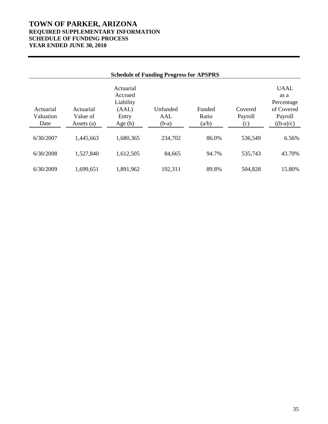# **TOWN OF PARKER, ARIZONA REQUIRED SUPPLEMENTARY INFORMATION SCHEDULE OF FUNDING PROCESS YEAR ENDED JUNE 30, 2010**

| <b>Schedule of Funding Progress for APSPRS</b> |                                       |                                                                  |                            |                          |                           |                                                                           |  |  |  |
|------------------------------------------------|---------------------------------------|------------------------------------------------------------------|----------------------------|--------------------------|---------------------------|---------------------------------------------------------------------------|--|--|--|
| Actuarial<br>Valuation<br>Date                 | Actuarial<br>Value of<br>Assets $(a)$ | Actuarial<br>Accrued<br>Liability<br>(AAL)<br>Entry<br>Age $(b)$ | Unfunded<br>AAL<br>$(b-a)$ | Funded<br>Ratio<br>(a/b) | Covered<br>Payroll<br>(c) | <b>UAAL</b><br>as a<br>Percentage<br>of Covered<br>Payroll<br>$((b-a)/c)$ |  |  |  |
| 6/30/2007                                      | 1,445,663                             | 1,680,365                                                        | 234,702                    | 86.0%                    | 536,549                   | 6.56%                                                                     |  |  |  |
| 6/30/2008                                      | 1,527,840                             | 1,612,505                                                        | 84,665                     | 94.7%                    | 535,743                   | 43.70%                                                                    |  |  |  |
| 6/30/2009                                      | 1,699,651                             | 1,891,962                                                        | 192,311                    | 89.8%                    | 504,828                   | 15.80%                                                                    |  |  |  |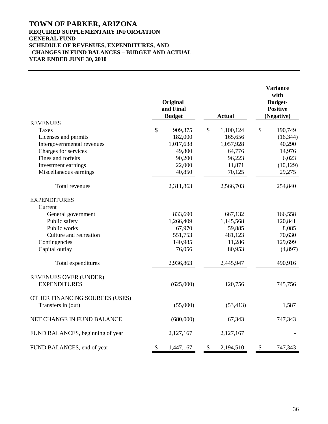# **TOWN OF PARKER, ARIZONA REQUIRED SUPPLEMENTARY INFORMATION GENERAL FUND SCHEDULE OF REVENUES, EXPENDITURES, AND CHANGES IN FUND BALANCES – BUDGET AND ACTUAL YEAR ENDED JUNE 30, 2010**

|                                  | Original<br>and Final<br><b>Budget</b> | <b>Actual</b>   | <b>Variance</b><br>with<br><b>Budget-</b><br><b>Positive</b><br>(Negative) |
|----------------------------------|----------------------------------------|-----------------|----------------------------------------------------------------------------|
| <b>REVENUES</b>                  |                                        |                 |                                                                            |
| <b>Taxes</b>                     | \$<br>909,375                          | \$<br>1,100,124 | \$<br>190,749                                                              |
| Licenses and permits             | 182,000                                | 165,656         | (16, 344)                                                                  |
| Intergovernmental revenues       | 1,017,638                              | 1,057,928       | 40,290                                                                     |
| Charges for services             | 49,800                                 | 64,776          | 14,976                                                                     |
| Fines and forfeits               | 90,200                                 | 96,223          | 6,023                                                                      |
| Investment earnings              | 22,000                                 | 11,871          | (10, 129)                                                                  |
| Miscellaneous earnings           | 40,850                                 | 70,125          | 29,275                                                                     |
| Total revenues                   | 2,311,863                              | 2,566,703       | 254,840                                                                    |
| <b>EXPENDITURES</b>              |                                        |                 |                                                                            |
| Current                          |                                        |                 |                                                                            |
| General government               | 833,690                                | 667,132         | 166,558                                                                    |
| Public safety                    | 1,266,409                              | 1,145,568       | 120,841                                                                    |
| Public works                     | 67,970                                 | 59,885          | 8,085                                                                      |
| Culture and recreation           | 551,753                                | 481,123         | 70,630                                                                     |
| Contingencies                    | 140,985                                | 11,286          | 129,699                                                                    |
| Capital outlay                   | 76,056                                 | 80,953          | (4, 897)                                                                   |
| Total expenditures               | 2,936,863                              | 2,445,947       | 490,916                                                                    |
| <b>REVENUES OVER (UNDER)</b>     |                                        |                 |                                                                            |
| <b>EXPENDITURES</b>              | (625,000)                              | 120,756         | 745,756                                                                    |
| OTHER FINANCING SOURCES (USES)   |                                        |                 |                                                                            |
| Transfers in (out)               | (55,000)                               | (53, 413)       | 1,587                                                                      |
| NET CHANGE IN FUND BALANCE       | (680,000)                              | 67,343          | 747,343                                                                    |
| FUND BALANCES, beginning of year | 2,127,167                              | 2,127,167       |                                                                            |
| FUND BALANCES, end of year       | \$<br>1,447,167                        | \$<br>2,194,510 | \$<br>747,343                                                              |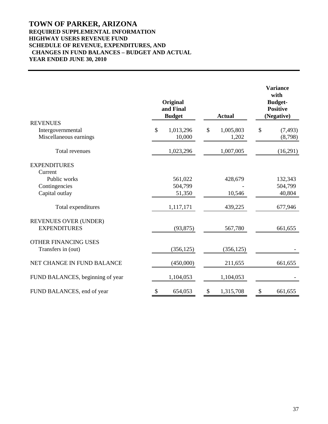# **TOWN OF PARKER, ARIZONA REQUIRED SUPPLEMENTAL INFORMATION HIGHWAY USERS REVENUE FUND SCHEDULE OF REVENUE, EXPENDITURES, AND CHANGES IN FUND BALANCES – BUDGET AND ACTUAL YEAR ENDED JUNE 30, 2010**

|                                              | Original<br>and Final<br><b>Budget</b> | <b>Actual</b>   | <b>Variance</b><br>with<br><b>Budget-</b><br><b>Positive</b><br>(Negative) |                   |  |
|----------------------------------------------|----------------------------------------|-----------------|----------------------------------------------------------------------------|-------------------|--|
| <b>REVENUES</b>                              |                                        |                 |                                                                            |                   |  |
| Intergovernmental                            | \$<br>1,013,296                        | \$<br>1,005,803 | \$                                                                         | (7, 493)          |  |
| Miscellaneous earnings                       | 10,000                                 | 1,202           |                                                                            | (8,798)           |  |
| Total revenues                               | 1,023,296                              | 1,007,005       |                                                                            | (16,291)          |  |
| <b>EXPENDITURES</b>                          |                                        |                 |                                                                            |                   |  |
| Current                                      |                                        |                 |                                                                            |                   |  |
| Public works                                 | 561,022<br>504,799                     | 428,679         |                                                                            | 132,343           |  |
| Contingencies                                |                                        |                 |                                                                            | 504,799<br>40,804 |  |
| Capital outlay                               | 51,350                                 | 10,546          |                                                                            |                   |  |
| Total expenditures                           | 1,117,171                              | 439,225         |                                                                            | 677,946           |  |
| REVENUES OVER (UNDER)<br><b>EXPENDITURES</b> | (93, 875)                              | 567,780         |                                                                            | 661,655           |  |
|                                              |                                        |                 |                                                                            |                   |  |
| <b>OTHER FINANCING USES</b>                  |                                        |                 |                                                                            |                   |  |
| Transfers in (out)                           | (356, 125)                             | (356, 125)      |                                                                            |                   |  |
| NET CHANGE IN FUND BALANCE                   | (450,000)                              | 211,655         |                                                                            | 661,655           |  |
| FUND BALANCES, beginning of year             | 1,104,053                              | 1,104,053       |                                                                            |                   |  |
| FUND BALANCES, end of year                   | \$<br>654,053                          | \$<br>1,315,708 | \$                                                                         | 661,655           |  |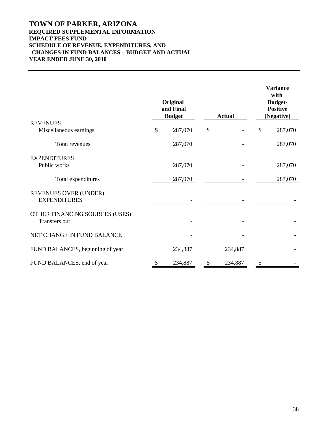# **TOWN OF PARKER, ARIZONA REQUIRED SUPPLEMENTAL INFORMATION IMPACT FEES FUND SCHEDULE OF REVENUE, EXPENDITURES, AND CHANGES IN FUND BALANCES – BUDGET AND ACTUAL YEAR ENDED JUNE 30, 2010**

|                                                     |               | Original<br>and Final<br><b>Budget</b> | <b>Actual</b> | <b>Variance</b><br>with<br><b>Budget-</b><br><b>Positive</b><br>(Negative) |         |  |
|-----------------------------------------------------|---------------|----------------------------------------|---------------|----------------------------------------------------------------------------|---------|--|
| <b>REVENUES</b><br>Miscellaneous earnings           | <sup>\$</sup> | 287,070                                | \$            | \$                                                                         | 287,070 |  |
| Total revenues                                      |               | 287,070                                |               |                                                                            | 287,070 |  |
| <b>EXPENDITURES</b><br>Public works                 |               | 287,070                                |               |                                                                            | 287,070 |  |
| Total expenditures                                  |               | 287,070                                |               |                                                                            | 287,070 |  |
| <b>REVENUES OVER (UNDER)</b><br><b>EXPENDITURES</b> |               |                                        |               |                                                                            |         |  |
| OTHER FINANCING SOURCES (USES)<br>Transfers out     |               |                                        |               |                                                                            |         |  |
| NET CHANGE IN FUND BALANCE                          |               |                                        |               |                                                                            |         |  |
| FUND BALANCES, beginning of year                    |               | 234,887                                | 234,887       |                                                                            |         |  |
| FUND BALANCES, end of year                          |               | 234,887                                | \$<br>234,887 | \$                                                                         |         |  |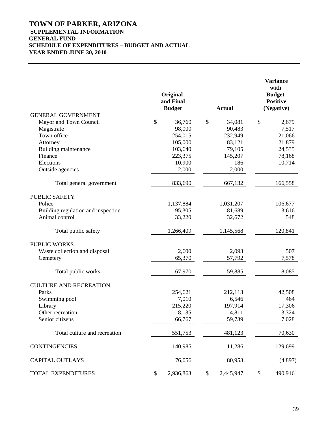# **TOWN OF PARKER, ARIZONA SUPPLEMENTAL INFORMATION GENERAL FUND SCHEDULE OF EXPENDITURES – BUDGET AND ACTUAL YEAR ENDED JUNE 30, 2010**

|                                    | Original<br>and Final<br><b>Budget</b> | <b>Actual</b>   | <b>Variance</b><br>with<br><b>Budget-</b><br><b>Positive</b><br>(Negative) |         |  |
|------------------------------------|----------------------------------------|-----------------|----------------------------------------------------------------------------|---------|--|
| <b>GENERAL GOVERNMENT</b>          |                                        |                 |                                                                            |         |  |
| Mayor and Town Council             | \$<br>36,760                           | \$<br>34,081    | \$                                                                         | 2,679   |  |
| Magistrate                         | 98,000                                 | 90,483          |                                                                            | 7,517   |  |
| Town office                        | 254,015                                | 232,949         |                                                                            | 21,066  |  |
| Attorney                           | 105,000                                | 83,121          |                                                                            | 21,879  |  |
| Building maintenance               | 103,640                                | 79,105          |                                                                            | 24,535  |  |
| Finance                            | 223,375                                | 145,207         |                                                                            | 78,168  |  |
| Elections                          | 10,900                                 | 186             |                                                                            | 10,714  |  |
| Outside agencies                   | 2,000                                  | 2,000           |                                                                            |         |  |
| Total general government           | 833,690                                | 667,132         |                                                                            | 166,558 |  |
| <b>PUBLIC SAFETY</b>               |                                        |                 |                                                                            |         |  |
| Police                             | 1,137,884                              | 1,031,207       |                                                                            | 106,677 |  |
| Building regulation and inspection | 95,305                                 | 81,689          |                                                                            | 13,616  |  |
| Animal control                     | 33,220                                 | 32,672          |                                                                            | 548     |  |
| Total public safety                | 1,266,409                              | 1,145,568       |                                                                            | 120,841 |  |
| <b>PUBLIC WORKS</b>                |                                        |                 |                                                                            |         |  |
| Waste collection and disposal      | 2,600                                  | 2,093           |                                                                            | 507     |  |
| Cemetery                           | 65,370                                 | 57,792          |                                                                            | 7,578   |  |
| Total public works                 | 67,970                                 | 59,885          |                                                                            | 8,085   |  |
| <b>CULTURE AND RECREATION</b>      |                                        |                 |                                                                            |         |  |
| Parks                              | 254,621                                | 212,113         |                                                                            | 42,508  |  |
| Swimming pool                      | 7,010                                  | 6,546           |                                                                            | 464     |  |
| Library                            | 215,220                                | 197,914         |                                                                            | 17,306  |  |
| Other recreation                   | 8,135                                  | 4,811           |                                                                            | 3,324   |  |
| Senior citizens                    | 66,767                                 | 59,739          |                                                                            | 7,028   |  |
| Total culture and recreation       | 551,753                                | 481,123         |                                                                            | 70,630  |  |
| <b>CONTINGENCIES</b>               | 140,985                                | 11,286          |                                                                            | 129,699 |  |
| CAPITAL OUTLAYS                    | 76,056                                 | 80,953          |                                                                            | (4,897) |  |
| TOTAL EXPENDITURES                 | \$<br>2,936,863                        | \$<br>2,445,947 | \$                                                                         | 490,916 |  |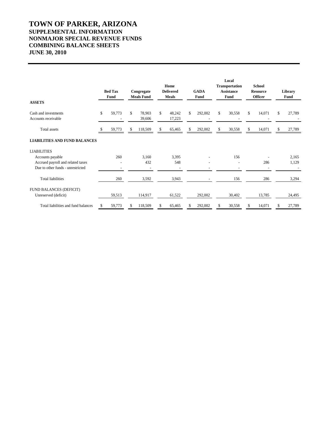# **TOWN OF PARKER, ARIZONA SUPPLEMENTAL INFORMATION NONMAJOR SPECIAL REVENUE FUNDS COMBINING BALANCE SHEETS JUNE 30, 2010**

|                                             |    | <b>Bed Tax</b><br>Fund |     | Congregate<br><b>Meals Fund</b> |    | Home<br><b>Delivered</b><br><b>Meals</b> |    | <b>GADA</b><br>Fund |    | Local<br>Transportation<br><b>Assistance</b><br>Fund |              | <b>School</b><br><b>Resource</b><br><b>Officer</b> |    | Library<br>Fund |  |
|---------------------------------------------|----|------------------------|-----|---------------------------------|----|------------------------------------------|----|---------------------|----|------------------------------------------------------|--------------|----------------------------------------------------|----|-----------------|--|
| <b>ASSETS</b>                               |    |                        |     |                                 |    |                                          |    |                     |    |                                                      |              |                                                    |    |                 |  |
| Cash and investments<br>Accounts receivable | \$ | 59,773                 | \$. | 78,903<br>39,606                | \$ | 48,242<br>17,223                         | S  | 292,002             | \$ | 30,558                                               | $\mathbb{S}$ | 14,071                                             | S  | 27,789          |  |
| Total assets                                |    | 59,773                 | S   | 118,509                         | \$ | 65,465                                   | \$ | 292,002             | \$ | 30,558                                               | \$           | 14,071                                             | S  | 27,789          |  |
| <b>LIABILITIES AND FUND BALANCES</b>        |    |                        |     |                                 |    |                                          |    |                     |    |                                                      |              |                                                    |    |                 |  |
| <b>LIABILITIES</b>                          |    |                        |     |                                 |    |                                          |    |                     |    |                                                      |              |                                                    |    |                 |  |
| Accounts payable                            |    | 260                    |     | 3,160                           |    | 3,395                                    |    |                     |    | 156                                                  |              |                                                    |    | 2,165           |  |
| Accrued payroll and related taxes           |    |                        |     | 432                             |    | 548                                      |    |                     |    |                                                      |              | 286                                                |    | 1,129           |  |
| Due to other funds - unrestricted           |    |                        |     |                                 |    |                                          |    |                     |    |                                                      |              |                                                    |    |                 |  |
| <b>Total liabilities</b>                    |    | 260                    |     | 3,592                           |    | 3,943                                    |    |                     |    | 156                                                  |              | 286                                                |    | 3,294           |  |
| FUND BALANCES (DEFICIT)                     |    |                        |     |                                 |    |                                          |    |                     |    |                                                      |              |                                                    |    |                 |  |
| Unreserved (deficit)                        |    | 59,513                 |     | 114,917                         |    | 61,522                                   |    | 292,002             |    | 30,402                                               |              | 13,785                                             |    | 24,495          |  |
| Total liabilities and fund balances         | \$ | 59,773                 | \$  | 118,509                         | \$ | 65,465                                   | \$ | 292,002             | \$ | 30,558                                               | \$           | 14,071                                             | \$ | 27,789          |  |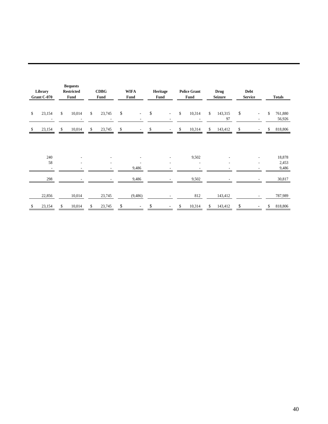| Library<br>Grant C-070                   | <b>Bequests</b><br><b>Restricted</b><br>Fund |              | <b>CDBG</b><br>Fund |    |                                    |                          |              |                          | <b>WIFA</b><br>Fund | Heritage<br>Fund |                                          | <b>Police Grant</b><br>Fund |  | Drug<br><b>Seizure</b> | Debt<br><b>Service</b> | <b>Totals</b> |
|------------------------------------------|----------------------------------------------|--------------|---------------------|----|------------------------------------|--------------------------|--------------|--------------------------|---------------------|------------------|------------------------------------------|-----------------------------|--|------------------------|------------------------|---------------|
| \$<br>23,154<br>$\overline{\phantom{a}}$ | \$<br>10,014                                 | $\mathbb{S}$ | 23,745              | \$ | $\sim$<br>$\overline{\phantom{a}}$ | \$<br>$\sim$             | $\mathbb{S}$ | 10,314                   | $\mathbb{S}$        | 143,315<br>97    | \$<br>$\sim$<br>$\overline{\phantom{a}}$ | \$<br>761,880<br>56,926     |  |                        |                        |               |
| \$<br>23,154                             | \$<br>10,014                                 | \$           | 23,745              | \$ |                                    | \$                       | \$           | 10,314                   | \$                  | 143,412          | \$                                       | \$<br>818,806               |  |                        |                        |               |
|                                          |                                              |              |                     |    |                                    |                          |              |                          |                     |                  |                                          |                             |  |                        |                        |               |
| 240                                      |                                              |              |                     |    |                                    |                          |              | 9,502                    |                     |                  |                                          | 18,878                      |  |                        |                        |               |
| 58                                       |                                              |              |                     |    |                                    | $\overline{a}$           |              | $\overline{\phantom{a}}$ |                     |                  | ۰                                        | 2,453                       |  |                        |                        |               |
| $\overline{\phantom{a}}$                 |                                              |              |                     |    | 9,486                              |                          |              |                          |                     |                  |                                          | 9,486                       |  |                        |                        |               |
| 298                                      |                                              |              |                     |    | 9,486                              |                          |              | 9,502                    |                     |                  | -                                        | 30,817                      |  |                        |                        |               |
| 22,856                                   | 10,014                                       |              | 23,745              |    | (9,486)                            | $\overline{\phantom{a}}$ |              | 812                      |                     | 143,412          | $\overline{\phantom{a}}$                 | 787,989                     |  |                        |                        |               |
| \$<br>23,154                             | \$<br>10,014                                 | \$           | 23,745              | \$ | ÷,                                 | \$                       | \$           | 10,314                   | \$                  | 143,412          | \$<br>$\overline{\phantom{a}}$           | \$<br>818,806               |  |                        |                        |               |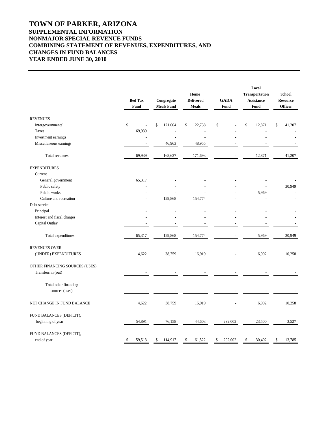# **TOWN OF PARKER, ARIZONA SUPPLEMENTAL INFORMATION NONMAJOR SPECIAL REVENUE FUNDS COMBINING STATEMENT OF REVENUES, EXPENDITURES, AND CHANGES IN FUND BALANCES YEAR ENDED JUNE 30, 2010**

|                                |                        |                                 | Home                             |                     | Local<br>Transportation   | <b>School</b>                     |  |
|--------------------------------|------------------------|---------------------------------|----------------------------------|---------------------|---------------------------|-----------------------------------|--|
|                                | <b>Bed Tax</b><br>Fund | Congregate<br><b>Meals Fund</b> | <b>Delivered</b><br><b>Meals</b> | <b>GADA</b><br>Fund | <b>Assistance</b><br>Fund | <b>Resource</b><br><b>Officer</b> |  |
| <b>REVENUES</b>                |                        |                                 |                                  |                     |                           |                                   |  |
| Intergovernmental              | \$<br>L,               | \$<br>121,664                   | \$<br>122,738                    | \$                  | \$<br>12,871              | \$<br>41,207                      |  |
| Taxes                          | 69,939                 |                                 |                                  |                     |                           |                                   |  |
| Investment earnings            |                        |                                 |                                  |                     |                           |                                   |  |
| Miscellaneous earnings         |                        | 46,963                          | 48,955                           |                     |                           |                                   |  |
| Total revenues                 | 69,939                 | 168,627                         | 171,693                          |                     | 12,871                    | 41,207                            |  |
| <b>EXPENDITURES</b>            |                        |                                 |                                  |                     |                           |                                   |  |
| Current                        |                        |                                 |                                  |                     |                           |                                   |  |
| General government             | 65,317                 |                                 |                                  |                     |                           |                                   |  |
| Public safety                  |                        |                                 |                                  |                     |                           | 30,949                            |  |
| Public works                   |                        |                                 |                                  |                     | 5,969                     |                                   |  |
| Culture and recreation         |                        | 129,868                         | 154,774                          |                     |                           |                                   |  |
| Debt service                   |                        |                                 |                                  |                     |                           |                                   |  |
| Principal                      |                        |                                 |                                  |                     |                           |                                   |  |
| Interest and fiscal charges    |                        |                                 |                                  |                     |                           |                                   |  |
| Capital Outlay                 |                        |                                 |                                  |                     |                           |                                   |  |
| Total expenditures             | 65,317                 | 129,868                         | 154,774                          |                     | 5,969                     | 30,949                            |  |
| <b>REVENUES OVER</b>           |                        |                                 |                                  |                     |                           |                                   |  |
| (UNDER) EXPENDITURES           | 4,622                  | 38,759                          | 16,919                           |                     | 6,902                     | 10,258                            |  |
| OTHER FINANCING SOURCES (USES) |                        |                                 |                                  |                     |                           |                                   |  |
| Transfers in (out)             |                        |                                 |                                  |                     |                           |                                   |  |
| Total other financing          |                        |                                 |                                  |                     |                           |                                   |  |
| sources (uses)                 |                        |                                 |                                  |                     |                           |                                   |  |
| NET CHANGE IN FUND BALANCE     | 4,622                  | 38,759                          | 16,919                           |                     | 6,902                     | 10,258                            |  |
| FUND BALANCES (DEFICIT),       |                        |                                 |                                  |                     |                           |                                   |  |
| beginning of year              | 54,891                 | 76,158                          | 44,603                           | 292,002             | 23,500                    | 3,527                             |  |
| FUND BALANCES (DEFICIT),       |                        |                                 |                                  |                     |                           |                                   |  |
| end of year                    | 59,513<br>S            | 114,917<br>S                    | \$<br>61,522                     | 292,002<br>S        | \$<br>30,402              | 13,785<br>\$                      |  |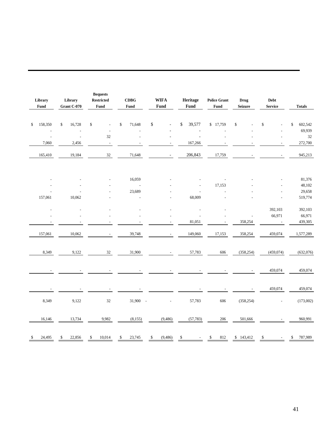| Library<br>Fund | Library<br>Grant C-070 | <b>Bequests</b><br><b>Restricted</b><br>Fund | $\mathbf C\mathbf D\mathbf B\mathbf G$<br>Fund | <b>WIFA</b><br>Fund | Heritage<br>$\ensuremath{\text{\textbf{F}}\xspace}$ | <b>Police Grant</b><br>Fund | <b>Drug</b><br><b>Seizure</b> | Debt<br><b>Service</b> | <b>Totals</b> |
|-----------------|------------------------|----------------------------------------------|------------------------------------------------|---------------------|-----------------------------------------------------|-----------------------------|-------------------------------|------------------------|---------------|
| 158,350<br>\$   | \$<br>16,728           | $\$$                                         | $\mathbb S$<br>71,648                          | $\$$                | \$<br>39,577                                        | \$ 17,759                   | \$                            | \$                     | 602,542<br>\$ |
|                 |                        |                                              |                                                |                     |                                                     |                             |                               |                        | 69,939        |
| L,              | ÷,                     | 32                                           |                                                |                     | $\overline{a}$                                      |                             |                               |                        | $32\,$        |
| 7,060           | 2,456                  | $\overline{\phantom{a}}$                     |                                                |                     | 167,266                                             |                             |                               |                        | 272,700       |
| 165,410         | 19,184                 | $32\,$                                       | 71,648                                         |                     | 206,843                                             | 17,759                      |                               |                        | 945,213       |
|                 |                        |                                              |                                                |                     |                                                     |                             |                               |                        |               |
|                 |                        |                                              | 16,059                                         |                     |                                                     |                             |                               |                        | 81,376        |
|                 |                        |                                              | $\overline{\phantom{a}}$                       |                     |                                                     | 17,153                      |                               |                        | 48,102        |
|                 |                        |                                              | 23,689                                         |                     |                                                     |                             |                               |                        | 29,658        |
| 157,061         | 10,062                 |                                              |                                                |                     | 68,009                                              |                             |                               |                        | 519,774       |
|                 |                        |                                              |                                                |                     |                                                     |                             |                               | 392,103                | 392,103       |
|                 |                        |                                              |                                                |                     |                                                     |                             |                               | 66,971                 | 66,971        |
|                 |                        |                                              |                                                |                     | 81,051                                              |                             | 358,254                       |                        | 439,305       |
| 157,061         | 10,062                 |                                              | 39,748                                         | $\overline{a}$      | 149,060                                             | 17,153                      | 358,254                       | 459,074                | 1,577,289     |
| 8,349           | 9,122                  | 32                                           | 31,900                                         |                     | 57,783                                              | 606                         | (358, 254)                    | (459, 074)             | (632,076)     |
|                 |                        |                                              |                                                |                     |                                                     |                             |                               | 459,074                | 459,074       |
|                 |                        |                                              |                                                |                     |                                                     |                             |                               | 459,074                | 459,074       |
| 8,349           | 9,122                  | $32\,$                                       | 31,900<br>$\sim$                               | L,                  | 57,783                                              | 606                         | (358, 254)                    |                        | (173,002)     |
| 16,146          | 13,734                 | 9,982                                        | (8,155)                                        | (9,486)             | (57, 783)                                           | 206                         | 501,666                       |                        | 960,991       |
| 24,495<br>\$    | \$<br>22,856           | \$<br>10,014                                 | 23,745<br>\$                                   | \$<br>(9,486)       | \$                                                  | 812<br>\$                   | \$ 143,412                    | \$                     | 787,989<br>\$ |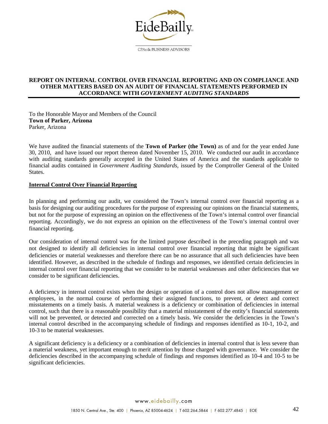

#### **REPORT ON INTERNAL CONTROL OVER FINANCIAL REPORTING AND ON COMPLIANCE AND OTHER MATTERS BASED ON AN AUDIT OF FINANCIAL STATEMENTS PERFORMED IN ACCORDANCE WITH** *GOVERNMENT AUDITING STANDARDS*

To the Honorable Mayor and Members of the Council **Town of Parker, Arizona**  Parker, Arizona

We have audited the financial statements of the **Town of Parker (the Town)** as of and for the year ended June 30, 2010, and have issued our report thereon dated November 15, 2010. We conducted our audit in accordance with auditing standards generally accepted in the United States of America and the standards applicable to financial audits contained in *Government Auditing Standards*, issued by the Comptroller General of the United States.

### **Internal Control Over Financial Reporting**

In planning and performing our audit, we considered the Town's internal control over financial reporting as a basis for designing our auditing procedures for the purpose of expressing our opinions on the financial statements, but not for the purpose of expressing an opinion on the effectiveness of the Town's internal control over financial reporting. Accordingly, we do not express an opinion on the effectiveness of the Town's internal control over financial reporting.

Our consideration of internal control was for the limited purpose described in the preceding paragraph and was not designed to identify all deficiencies in internal control over financial reporting that might be significant deficiencies or material weaknesses and therefore there can be no assurance that all such deficiencies have been identified. However, as described in the schedule of findings and responses, we identified certain deficiencies in internal control over financial reporting that we consider to be material weaknesses and other deficiencies that we consider to be significant deficiencies.

A deficiency in internal control exists when the design or operation of a control does not allow management or employees, in the normal course of performing their assigned functions, to prevent, or detect and correct misstatements on a timely basis. A material weakness is a deficiency or combination of deficiencies in internal control, such that there is a reasonable possibility that a material misstatement of the entity's financial statements will not be prevented, or detected and corrected on a timely basis. We consider the deficiencies in the Town's internal control described in the accompanying schedule of findings and responses identified as 10-1, 10-2, and 10-3 to be material weaknesses.

A significant deficiency is a deficiency or a combination of deficiencies in internal control that is less severe than a material weakness, yet important enough to merit attention by those charged with governance. We consider the deficiencies described in the accompanying schedule of findings and responses identified as 10-4 and 10-5 to be significant deficiencies.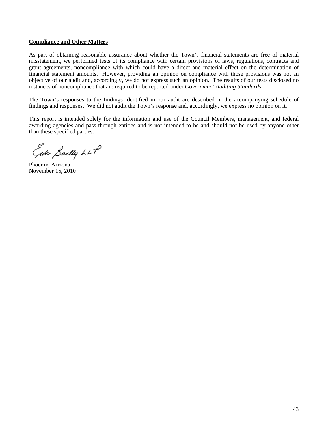### **Compliance and Other Matters**

As part of obtaining reasonable assurance about whether the Town's financial statements are free of material misstatement, we performed tests of its compliance with certain provisions of laws, regulations, contracts and grant agreements, noncompliance with which could have a direct and material effect on the determination of financial statement amounts. However, providing an opinion on compliance with those provisions was not an objective of our audit and, accordingly, we do not express such an opinion. The results of our tests disclosed no instances of noncompliance that are required to be reported under *Government Auditing Standards*.

The Town's responses to the findings identified in our audit are described in the accompanying schedule of findings and responses. We did not audit the Town's response and, accordingly, we express no opinion on it.

This report is intended solely for the information and use of the Council Members, management, and federal awarding agencies and pass-through entities and is not intended to be and should not be used by anyone other than these specified parties.

Ede Sailly LLP

Phoenix, Arizona November 15, 2010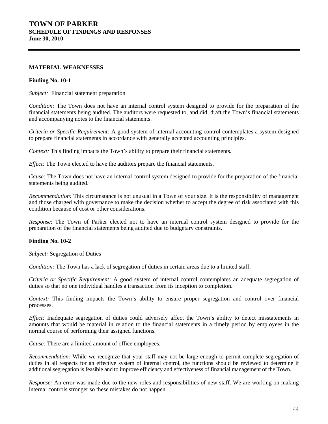# **TOWN OF PARKER SCHEDULE OF FINDINGS AND RESPONSES June 30, 2010**

### **MATERIAL WEAKNESSES**

#### **Finding No. 10-1**

*Subject:* Financial statement preparation

*Condition:* The Town does not have an internal control system designed to provide for the preparation of the financial statements being audited. The auditors were requested to, and did, draft the Town's financial statements and accompanying notes to the financial statements.

*Criteria or Specific Requirement:* A good system of internal accounting control contemplates a system designed to prepare financial statements in accordance with generally accepted accounting principles.

*Context:* This finding impacts the Town's ability to prepare their financial statements.

*Effect:* The Town elected to have the auditors prepare the financial statements.

*Cause:* The Town does not have an internal control system designed to provide for the preparation of the financial statements being audited.

*Recommendation:* This circumstance is not unusual in a Town of your size. It is the responsibility of management and those charged with governance to make the decision whether to accept the degree of risk associated with this condition because of cost or other considerations.

*Response*: The Town of Parker elected not to have an internal control system designed to provide for the preparation of the financial statements being audited due to budgetary constraints.

### **Finding No. 10-2**

*Subject:* Segregation of Duties

*Condition:* The Town has a lack of segregation of duties in certain areas due to a limited staff.

*Criteria or Specific Requirement:* A good system of internal control contemplates an adequate segregation of duties so that no one individual handles a transaction from its inception to completion.

*Context:* This finding impacts the Town's ability to ensure proper segregation and control over financial processes.

*Effect:* Inadequate segregation of duties could adversely affect the Town's ability to detect misstatements in amounts that would be material in relation to the financial statements in a timely period by employees in the normal course of performing their assigned functions.

*Cause:* There are a limited amount of office employees.

*Recommendation:* While we recognize that your staff may not be large enough to permit complete segregation of duties in all respects for an effective system of internal control, the functions should be reviewed to determine if additional segregation is feasible and to improve efficiency and effectiveness of financial management of the Town.

*Response:* An error was made due to the new roles and responsibilities of new staff. We are working on making internal controls stronger so these mistakes do not happen.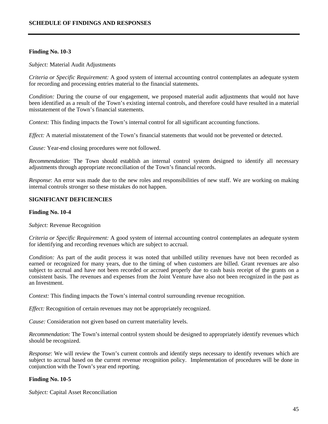### **Finding No. 10-3**

*Subject:* Material Audit Adjustments

*Criteria or Specific Requirement:* A good system of internal accounting control contemplates an adequate system for recording and processing entries material to the financial statements.

*Condition:* During the course of our engagement, we proposed material audit adjustments that would not have been identified as a result of the Town's existing internal controls, and therefore could have resulted in a material misstatement of the Town's financial statements.

*Context:* This finding impacts the Town's internal control for all significant accounting functions.

*Effect:* A material misstatement of the Town's financial statements that would not be prevented or detected.

*Cause:* Year-end closing procedures were not followed.

*Recommendation:* The Town should establish an internal control system designed to identify all necessary adjustments through appropriate reconciliation of the Town's financial records.

*Response*: An error was made due to the new roles and responsibilities of new staff. We are working on making internal controls stronger so these mistakes do not happen.

### **SIGNIFICANT DEFICIENCIES**

#### **Finding No. 10-4**

*Subject:* Revenue Recognition

*Criteria or Specific Requirement:* A good system of internal accounting control contemplates an adequate system for identifying and recording revenues which are subject to accrual.

*Condition:* As part of the audit process it was noted that unbilled utility revenues have not been recorded as earned or recognized for many years, due to the timing of when customers are billed. Grant revenues are also subject to accrual and have not been recorded or accrued properly due to cash basis receipt of the grants on a consistent basis. The revenues and expenses from the Joint Venture have also not been recognized in the past as an Investment.

*Context:* This finding impacts the Town's internal control surrounding revenue recognition.

*Effect:* Recognition of certain revenues may not be appropriately recognized.

*Cause:* Consideration not given based on current materiality levels.

*Recommendation:* The Town's internal control system should be designed to appropriately identify revenues which should be recognized.

*Response*: We will review the Town's current controls and identify steps necessary to identify revenues which are subject to accrual based on the current revenue recognition policy. Implementation of procedures will be done in conjunction with the Town's year end reporting.

### **Finding No. 10-5**

*Subject:* Capital Asset Reconciliation